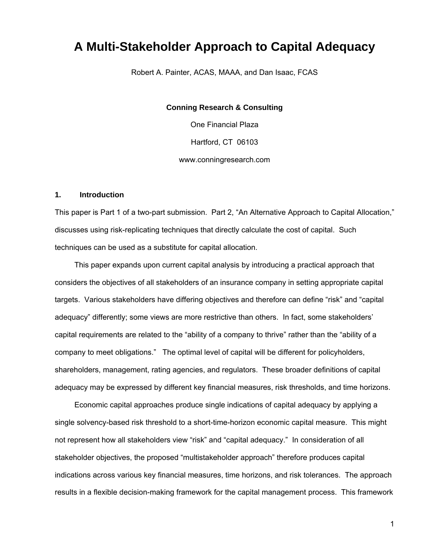# **A Multi-Stakeholder Approach to Capital Adequacy**

Robert A. Painter, ACAS, MAAA, and Dan Isaac, FCAS

**Conning Research & Consulting** 

One Financial Plaza Hartford, CT 06103 www.conningresearch.com

#### **1. Introduction**

This paper is Part 1 of a two-part submission. Part 2, "An Alternative Approach to Capital Allocation," discusses using risk-replicating techniques that directly calculate the cost of capital. Such techniques can be used as a substitute for capital allocation.

 This paper expands upon current capital analysis by introducing a practical approach that considers the objectives of all stakeholders of an insurance company in setting appropriate capital targets. Various stakeholders have differing objectives and therefore can define "risk" and "capital adequacy" differently; some views are more restrictive than others. In fact, some stakeholders' capital requirements are related to the "ability of a company to thrive" rather than the "ability of a company to meet obligations." The optimal level of capital will be different for policyholders, shareholders, management, rating agencies, and regulators. These broader definitions of capital adequacy may be expressed by different key financial measures, risk thresholds, and time horizons.

 Economic capital approaches produce single indications of capital adequacy by applying a single solvency-based risk threshold to a short-time-horizon economic capital measure. This might not represent how all stakeholders view "risk" and "capital adequacy." In consideration of all stakeholder objectives, the proposed "multistakeholder approach" therefore produces capital indications across various key financial measures, time horizons, and risk tolerances. The approach results in a flexible decision-making framework for the capital management process. This framework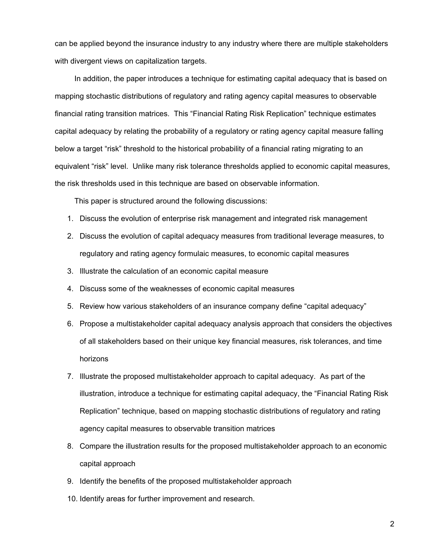can be applied beyond the insurance industry to any industry where there are multiple stakeholders with divergent views on capitalization targets.

 In addition, the paper introduces a technique for estimating capital adequacy that is based on mapping stochastic distributions of regulatory and rating agency capital measures to observable financial rating transition matrices. This "Financial Rating Risk Replication" technique estimates capital adequacy by relating the probability of a regulatory or rating agency capital measure falling below a target "risk" threshold to the historical probability of a financial rating migrating to an equivalent "risk" level. Unlike many risk tolerance thresholds applied to economic capital measures, the risk thresholds used in this technique are based on observable information.

This paper is structured around the following discussions:

- 1. Discuss the evolution of enterprise risk management and integrated risk management
- 2. Discuss the evolution of capital adequacy measures from traditional leverage measures, to regulatory and rating agency formulaic measures, to economic capital measures
- 3. Illustrate the calculation of an economic capital measure
- 4. Discuss some of the weaknesses of economic capital measures
- 5. Review how various stakeholders of an insurance company define "capital adequacy"
- 6. Propose a multistakeholder capital adequacy analysis approach that considers the objectives of all stakeholders based on their unique key financial measures, risk tolerances, and time horizons
- 7. Illustrate the proposed multistakeholder approach to capital adequacy. As part of the illustration, introduce a technique for estimating capital adequacy, the "Financial Rating Risk Replication" technique, based on mapping stochastic distributions of regulatory and rating agency capital measures to observable transition matrices
- 8. Compare the illustration results for the proposed multistakeholder approach to an economic capital approach
- 9. Identify the benefits of the proposed multistakeholder approach
- 10. Identify areas for further improvement and research.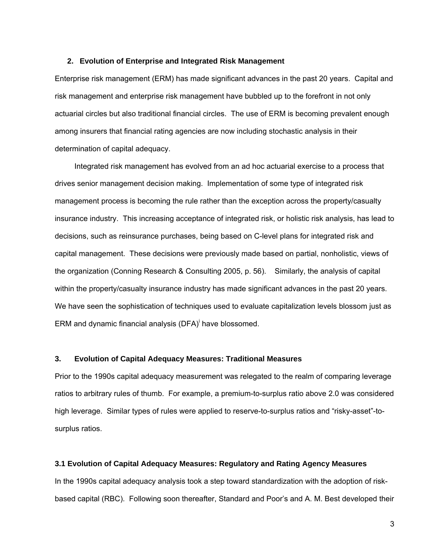#### **2. Evolution of Enterprise and Integrated Risk Management**

Enterprise risk management (ERM) has made significant advances in the past 20 years. Capital and risk management and enterprise risk management have bubbled up to the forefront in not only actuarial circles but also traditional financial circles. The use of ERM is becoming prevalent enough among insurers that financial rating agencies are now including stochastic analysis in their determination of capital adequacy.

 Integrated risk management has evolved from an ad hoc actuarial exercise to a process that drives senior management decision making. Implementation of some type of integrated risk management process is becoming the rule rather than the exception across the property/casualty insurance industry. This increasing acceptance of integrated risk, or holistic risk analysis, has lead to decisions, such as reinsurance purchases, being based on C-level plans for integrated risk and capital management. These decisions were previously made based on partial, nonholistic, views of the organization (Conning Research & Consulting 2005, p. 56). Similarly, the analysis of capital within the property/casualty insurance industry has made significant advances in the past 20 years. We have seen the sophistication of techniques used to evaluate capitalization levels blossom just as ERM and dynamic financial analysis (DFA) $^{\dagger}$  have blossomed.

#### **3. Evolution of Capital Adequacy Measures: Traditional Measures**

Prior to the 1990s capital adequacy measurement was relegated to the realm of comparing leverage ratios to arbitrary rules of thumb. For example, a premium-to-surplus ratio above 2.0 was considered high leverage. Similar types of rules were applied to reserve-to-surplus ratios and "risky-asset"-tosurplus ratios.

#### **3.1 Evolution of Capital Adequacy Measures: Regulatory and Rating Agency Measures**

In the 1990s capital adequacy analysis took a step toward standardization with the adoption of riskbased capital (RBC). Following soon thereafter, Standard and Poor's and A. M. Best developed their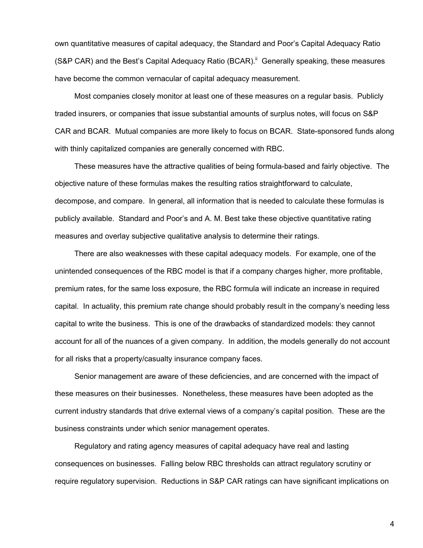own quantitative measures of capital adequacy, the Standard and Poor's Capital Adequacy Ratio (S&P CAR) and the Best's Capital Adequacy Ratio (BCAR).<sup>ii</sup> Generally speaking, these measures have become the common vernacular of capital adequacy measurement.

 Most companies closely monitor at least one of these measures on a regular basis. Publicly traded insurers, or companies that issue substantial amounts of surplus notes, will focus on S&P CAR and BCAR. Mutual companies are more likely to focus on BCAR. State-sponsored funds along with thinly capitalized companies are generally concerned with RBC.

 These measures have the attractive qualities of being formula-based and fairly objective. The objective nature of these formulas makes the resulting ratios straightforward to calculate, decompose, and compare. In general, all information that is needed to calculate these formulas is publicly available. Standard and Poor's and A. M. Best take these objective quantitative rating measures and overlay subjective qualitative analysis to determine their ratings.

 There are also weaknesses with these capital adequacy models. For example, one of the unintended consequences of the RBC model is that if a company charges higher, more profitable, premium rates, for the same loss exposure, the RBC formula will indicate an increase in required capital. In actuality, this premium rate change should probably result in the company's needing less capital to write the business. This is one of the drawbacks of standardized models: they cannot account for all of the nuances of a given company. In addition, the models generally do not account for all risks that a property/casualty insurance company faces.

 Senior management are aware of these deficiencies, and are concerned with the impact of these measures on their businesses. Nonetheless, these measures have been adopted as the current industry standards that drive external views of a company's capital position. These are the business constraints under which senior management operates.

 Regulatory and rating agency measures of capital adequacy have real and lasting consequences on businesses. Falling below RBC thresholds can attract regulatory scrutiny or require regulatory supervision. Reductions in S&P CAR ratings can have significant implications on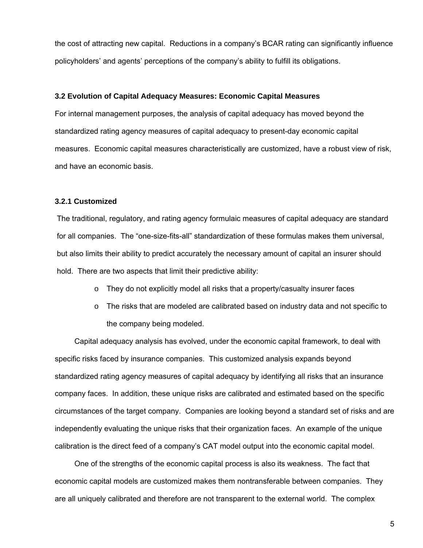the cost of attracting new capital. Reductions in a company's BCAR rating can significantly influence policyholders' and agents' perceptions of the company's ability to fulfill its obligations.

#### **3.2 Evolution of Capital Adequacy Measures: Economic Capital Measures**

For internal management purposes, the analysis of capital adequacy has moved beyond the standardized rating agency measures of capital adequacy to present-day economic capital measures. Economic capital measures characteristically are customized, have a robust view of risk, and have an economic basis.

#### **3.2.1 Customized**

The traditional, regulatory, and rating agency formulaic measures of capital adequacy are standard for all companies. The "one-size-fits-all" standardization of these formulas makes them universal, but also limits their ability to predict accurately the necessary amount of capital an insurer should hold. There are two aspects that limit their predictive ability:

- o They do not explicitly model all risks that a property/casualty insurer faces
- $\circ$  The risks that are modeled are calibrated based on industry data and not specific to the company being modeled.

 Capital adequacy analysis has evolved, under the economic capital framework, to deal with specific risks faced by insurance companies. This customized analysis expands beyond standardized rating agency measures of capital adequacy by identifying all risks that an insurance company faces. In addition, these unique risks are calibrated and estimated based on the specific circumstances of the target company. Companies are looking beyond a standard set of risks and are independently evaluating the unique risks that their organization faces. An example of the unique calibration is the direct feed of a company's CAT model output into the economic capital model.

 One of the strengths of the economic capital process is also its weakness. The fact that economic capital models are customized makes them nontransferable between companies. They are all uniquely calibrated and therefore are not transparent to the external world. The complex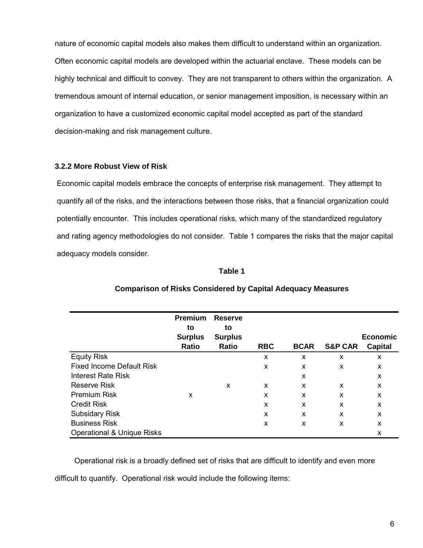nature of economic capital models also makes them difficult to understand within an organization. Often economic capital models are developed within the actuarial enclave. These models can be highly technical and difficult to convey. They are not transparent to others within the organization. A tremendous amount of internal education, or senior management imposition, is necessary within an organization to have a customized economic capital model accepted as part of the standard decision-making and risk management culture.

# **3.2.2 More Robust View of Risk**

Economic capital models embrace the concepts of enterprise risk management. They attempt to quantify all of the risks, and the interactions between those risks, that a financial organization could potentially encounter. This includes operational risks, which many of the standardized regulatory and rating agency methodologies do not consider. Table 1 compares the risks that the major capital adequacy models consider.

# **Table 1**

|                                       | <b>Premium</b><br>to<br><b>Surplus</b><br><b>Ratio</b> | <b>Reserve</b><br>to<br><b>Surplus</b><br>Ratio | <b>RBC</b> | <b>BCAR</b> | <b>S&amp;P CAR</b> | <b>Economic</b><br><b>Capital</b> |
|---------------------------------------|--------------------------------------------------------|-------------------------------------------------|------------|-------------|--------------------|-----------------------------------|
| <b>Equity Risk</b>                    |                                                        |                                                 | X          | X           | X                  | X                                 |
| <b>Fixed Income Default Risk</b>      |                                                        |                                                 | X          | X           | X                  | X                                 |
| Interest Rate Risk                    |                                                        |                                                 |            | X           |                    | X                                 |
| Reserve Risk                          |                                                        | X                                               | X          | x           | X                  | X                                 |
| <b>Premium Risk</b>                   | X                                                      |                                                 | X          | X           | X                  | X                                 |
| <b>Credit Risk</b>                    |                                                        |                                                 | X          | X           | X                  | X                                 |
| <b>Subsidary Risk</b>                 |                                                        |                                                 | X          | X           | X                  | X                                 |
| <b>Business Risk</b>                  |                                                        |                                                 | X          | X           | X                  | X                                 |
| <b>Operational &amp; Unique Risks</b> |                                                        |                                                 |            |             |                    | X                                 |

### **Comparison of Risks Considered by Capital Adequacy Measures**

 Operational risk is a broadly defined set of risks that are difficult to identify and even more difficult to quantify. Operational risk would include the following items: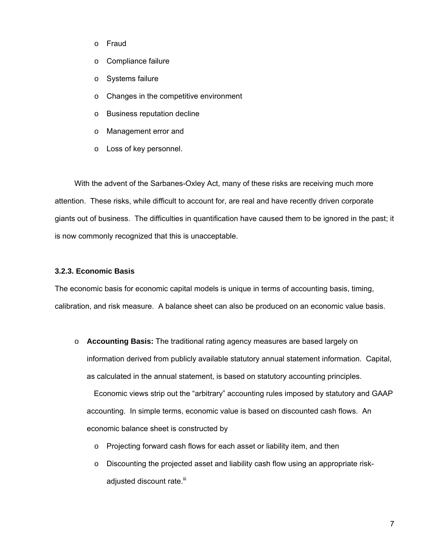- o Fraud
- o Compliance failure
- o Systems failure
- o Changes in the competitive environment
- o Business reputation decline
- o Management error and
- o Loss of key personnel.

 With the advent of the Sarbanes-Oxley Act, many of these risks are receiving much more attention. These risks, while difficult to account for, are real and have recently driven corporate giants out of business. The difficulties in quantification have caused them to be ignored in the past; it is now commonly recognized that this is unacceptable.

#### **3.2.3. Economic Basis**

The economic basis for economic capital models is unique in terms of accounting basis, timing, calibration, and risk measure. A balance sheet can also be produced on an economic value basis.

o **Accounting Basis:** The traditional rating agency measures are based largely on information derived from publicly available statutory annual statement information. Capital, as calculated in the annual statement, is based on statutory accounting principles.

 Economic views strip out the "arbitrary" accounting rules imposed by statutory and GAAP accounting. In simple terms, economic value is based on discounted cash flows. An economic balance sheet is constructed by

- o Projecting forward cash flows for each asset or liability item, and then
- $\circ$  Discounting the projected asset and liability cash flow using an appropriate riskadjusted discount rate.<sup>iii</sup>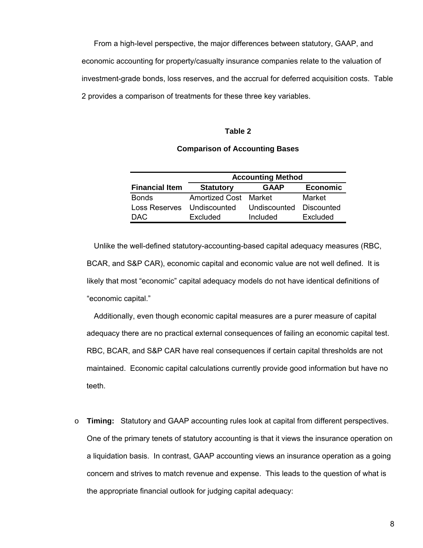From a high-level perspective, the major differences between statutory, GAAP, and economic accounting for property/casualty insurance companies relate to the valuation of investment-grade bonds, loss reserves, and the accrual for deferred acquisition costs. Table 2 provides a comparison of treatments for these three key variables.

#### **Table 2**

## **Comparison of Accounting Bases**

|                       | <b>Accounting Method</b>     |              |                   |  |  |
|-----------------------|------------------------------|--------------|-------------------|--|--|
| <b>Financial Item</b> | <b>Statutory</b>             | <b>GAAP</b>  | <b>Economic</b>   |  |  |
| <b>Bonds</b>          | <b>Amortized Cost Market</b> |              | Market            |  |  |
| Loss Reserves         | Undiscounted                 | Undiscounted | <b>Discounted</b> |  |  |
| DAC.                  | Excluded                     | Included     | Excluded          |  |  |

 Unlike the well-defined statutory-accounting-based capital adequacy measures (RBC, BCAR, and S&P CAR), economic capital and economic value are not well defined. It is likely that most "economic" capital adequacy models do not have identical definitions of "economic capital."

 Additionally, even though economic capital measures are a purer measure of capital adequacy there are no practical external consequences of failing an economic capital test. RBC, BCAR, and S&P CAR have real consequences if certain capital thresholds are not maintained. Economic capital calculations currently provide good information but have no teeth.

o **Timing:** Statutory and GAAP accounting rules look at capital from different perspectives. One of the primary tenets of statutory accounting is that it views the insurance operation on a liquidation basis. In contrast, GAAP accounting views an insurance operation as a going concern and strives to match revenue and expense. This leads to the question of what is the appropriate financial outlook for judging capital adequacy: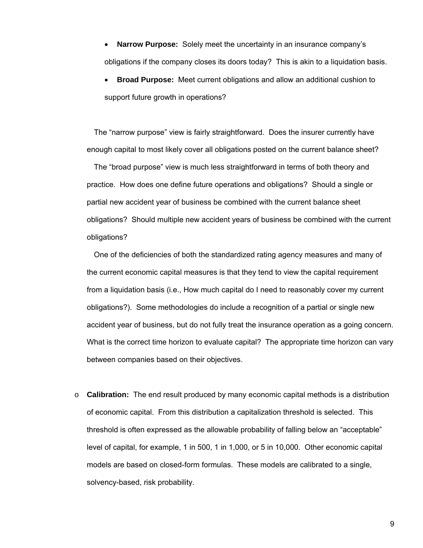- **Narrow Purpose:** Solely meet the uncertainty in an insurance company's obligations if the company closes its doors today? This is akin to a liquidation basis.
- **Broad Purpose:** Meet current obligations and allow an additional cushion to support future growth in operations?

 The "narrow purpose" view is fairly straightforward. Does the insurer currently have enough capital to most likely cover all obligations posted on the current balance sheet?

 The "broad purpose" view is much less straightforward in terms of both theory and practice. How does one define future operations and obligations? Should a single or partial new accident year of business be combined with the current balance sheet obligations? Should multiple new accident years of business be combined with the current obligations?

 One of the deficiencies of both the standardized rating agency measures and many of the current economic capital measures is that they tend to view the capital requirement from a liquidation basis (i.e., How much capital do I need to reasonably cover my current obligations?). Some methodologies do include a recognition of a partial or single new accident year of business, but do not fully treat the insurance operation as a going concern. What is the correct time horizon to evaluate capital? The appropriate time horizon can vary between companies based on their objectives.

o **Calibration:** The end result produced by many economic capital methods is a distribution of economic capital. From this distribution a capitalization threshold is selected. This threshold is often expressed as the allowable probability of falling below an "acceptable" level of capital, for example, 1 in 500, 1 in 1,000, or 5 in 10,000. Other economic capital models are based on closed-form formulas. These models are calibrated to a single, solvency-based, risk probability.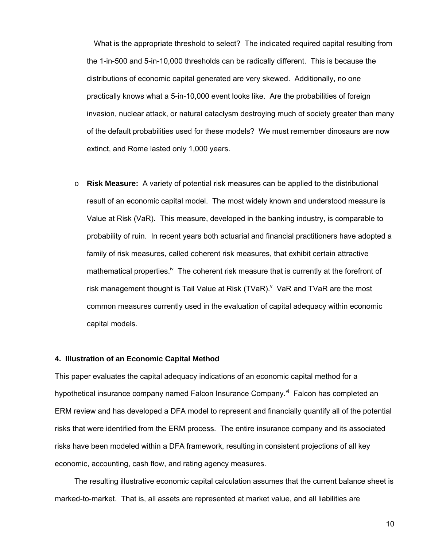What is the appropriate threshold to select? The indicated required capital resulting from the 1-in-500 and 5-in-10,000 thresholds can be radically different. This is because the distributions of economic capital generated are very skewed. Additionally, no one practically knows what a 5-in-10,000 event looks like. Are the probabilities of foreign invasion, nuclear attack, or natural cataclysm destroying much of society greater than many of the default probabilities used for these models? We must remember dinosaurs are now extinct, and Rome lasted only 1,000 years.

o **Risk Measure:** A variety of potential risk measures can be applied to the distributional result of an economic capital model. The most widely known and understood measure is Value at Risk (VaR). This measure, developed in the banking industry, is comparable to probability of ruin. In recent years both actuarial and financial practitioners have adopted a family of risk measures, called coherent risk measures, that exhibit certain attractive mathematical properties.<sup>iv</sup> The coherent risk measure that is currently at the forefront of risk management thought is Tail Value at Risk  $(TVaR)^{v}$  VaR and TVaR are the most common measures currently used in the evaluation of capital adequacy within economic capital models.

#### **4. Illustration of an Economic Capital Method**

This paper evaluates the capital adequacy indications of an economic capital method for a hypothetical insurance company named Falcon Insurance Company.<sup>vi</sup> Falcon has completed an ERM review and has developed a DFA model to represent and financially quantify all of the potential risks that were identified from the ERM process. The entire insurance company and its associated risks have been modeled within a DFA framework, resulting in consistent projections of all key economic, accounting, cash flow, and rating agency measures.

 The resulting illustrative economic capital calculation assumes that the current balance sheet is marked-to-market. That is, all assets are represented at market value, and all liabilities are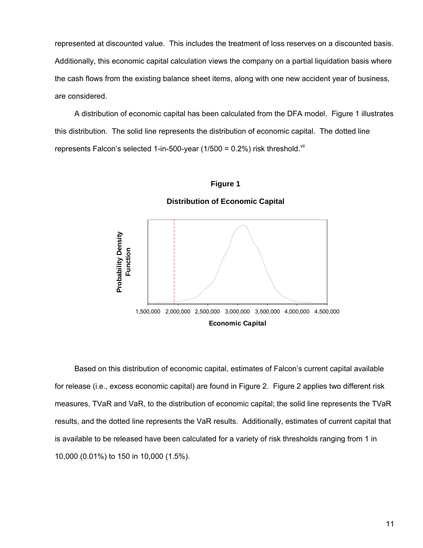represented at discounted value. This includes the treatment of loss reserves on a discounted basis. Additionally, this economic capital calculation views the company on a partial liquidation basis where the cash flows from the existing balance sheet items, along with one new accident year of business, are considered.

 A distribution of economic capital has been calculated from the DFA model. Figure 1 illustrates this distribution. The solid line represents the distribution of economic capital. The dotted line represents Falcon's selected 1-in-500-year (1/500 =  $0.2\%$ ) risk threshold. Vii



**Distribution of Economic Capital** 



 Based on this distribution of economic capital, estimates of Falcon's current capital available for release (i.e., excess economic capital) are found in Figure 2. Figure 2 applies two different risk measures, TVaR and VaR, to the distribution of economic capital; the solid line represents the TVaR results, and the dotted line represents the VaR results. Additionally, estimates of current capital that is available to be released have been calculated for a variety of risk thresholds ranging from 1 in 10,000 (0.01%) to 150 in 10,000 (1.5%).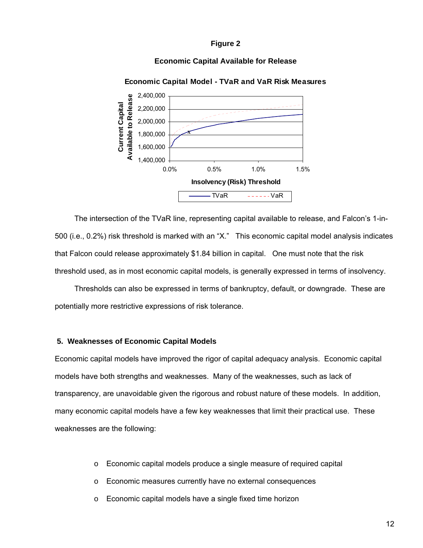**Figure 2** 

### **Economic Capital Available for Release**



**Economic Capital Model - TVaR and VaR Risk Measures**

 The intersection of the TVaR line, representing capital available to release, and Falcon's 1-in-500 (i.e., 0.2%) risk threshold is marked with an "X." This economic capital model analysis indicates that Falcon could release approximately \$1.84 billion in capital. One must note that the risk threshold used, as in most economic capital models, is generally expressed in terms of insolvency.

 Thresholds can also be expressed in terms of bankruptcy, default, or downgrade. These are potentially more restrictive expressions of risk tolerance.

#### **5. Weaknesses of Economic Capital Models**

Economic capital models have improved the rigor of capital adequacy analysis. Economic capital models have both strengths and weaknesses. Many of the weaknesses, such as lack of transparency, are unavoidable given the rigorous and robust nature of these models. In addition, many economic capital models have a few key weaknesses that limit their practical use. These weaknesses are the following:

- o Economic capital models produce a single measure of required capital
- o Economic measures currently have no external consequences
- o Economic capital models have a single fixed time horizon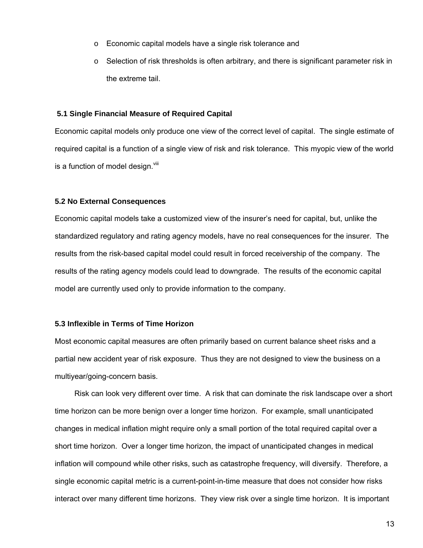- o Economic capital models have a single risk tolerance and
- $\circ$  Selection of risk thresholds is often arbitrary, and there is significant parameter risk in the extreme tail.

#### **5.1 Single Financial Measure of Required Capital**

Economic capital models only produce one view of the correct level of capital. The single estimate of required capital is a function of a single view of risk and risk tolerance. This myopic view of the world is a function of model design. $v_{\text{lin}}$ 

### **5.2 No External Consequences**

Economic capital models take a customized view of the insurer's need for capital, but, unlike the standardized regulatory and rating agency models, have no real consequences for the insurer. The results from the risk-based capital model could result in forced receivership of the company. The results of the rating agency models could lead to downgrade. The results of the economic capital model are currently used only to provide information to the company.

### **5.3 Inflexible in Terms of Time Horizon**

Most economic capital measures are often primarily based on current balance sheet risks and a partial new accident year of risk exposure. Thus they are not designed to view the business on a multiyear/going-concern basis.

 Risk can look very different over time. A risk that can dominate the risk landscape over a short time horizon can be more benign over a longer time horizon. For example, small unanticipated changes in medical inflation might require only a small portion of the total required capital over a short time horizon. Over a longer time horizon, the impact of unanticipated changes in medical inflation will compound while other risks, such as catastrophe frequency, will diversify. Therefore, a single economic capital metric is a current-point-in-time measure that does not consider how risks interact over many different time horizons. They view risk over a single time horizon. It is important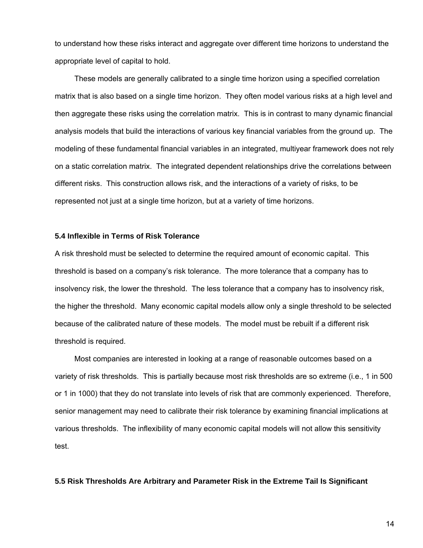to understand how these risks interact and aggregate over different time horizons to understand the appropriate level of capital to hold.

 These models are generally calibrated to a single time horizon using a specified correlation matrix that is also based on a single time horizon. They often model various risks at a high level and then aggregate these risks using the correlation matrix. This is in contrast to many dynamic financial analysis models that build the interactions of various key financial variables from the ground up. The modeling of these fundamental financial variables in an integrated, multiyear framework does not rely on a static correlation matrix. The integrated dependent relationships drive the correlations between different risks. This construction allows risk, and the interactions of a variety of risks, to be represented not just at a single time horizon, but at a variety of time horizons.

#### **5.4 Inflexible in Terms of Risk Tolerance**

A risk threshold must be selected to determine the required amount of economic capital. This threshold is based on a company's risk tolerance. The more tolerance that a company has to insolvency risk, the lower the threshold. The less tolerance that a company has to insolvency risk, the higher the threshold. Many economic capital models allow only a single threshold to be selected because of the calibrated nature of these models.The model must be rebuilt if a different risk threshold is required.

 Most companies are interested in looking at a range of reasonable outcomes based on a variety of risk thresholds. This is partially because most risk thresholds are so extreme (i.e., 1 in 500 or 1 in 1000) that they do not translate into levels of risk that are commonly experienced. Therefore, senior management may need to calibrate their risk tolerance by examining financial implications at various thresholds. The inflexibility of many economic capital models will not allow this sensitivity test.

#### **5.5 Risk Thresholds Are Arbitrary and Parameter Risk in the Extreme Tail Is Significant**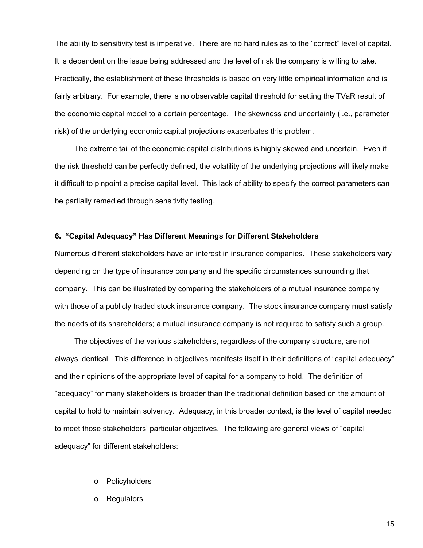The ability to sensitivity test is imperative. There are no hard rules as to the "correct" level of capital. It is dependent on the issue being addressed and the level of risk the company is willing to take. Practically, the establishment of these thresholds is based on very little empirical information and is fairly arbitrary. For example, there is no observable capital threshold for setting the TVaR result of the economic capital model to a certain percentage. The skewness and uncertainty (i.e., parameter risk) of the underlying economic capital projections exacerbates this problem.

 The extreme tail of the economic capital distributions is highly skewed and uncertain. Even if the risk threshold can be perfectly defined, the volatility of the underlying projections will likely make it difficult to pinpoint a precise capital level. This lack of ability to specify the correct parameters can be partially remedied through sensitivity testing.

#### **6. "Capital Adequacy" Has Different Meanings for Different Stakeholders**

Numerous different stakeholders have an interest in insurance companies. These stakeholders vary depending on the type of insurance company and the specific circumstances surrounding that company. This can be illustrated by comparing the stakeholders of a mutual insurance company with those of a publicly traded stock insurance company. The stock insurance company must satisfy the needs of its shareholders; a mutual insurance company is not required to satisfy such a group.

 The objectives of the various stakeholders, regardless of the company structure, are not always identical. This difference in objectives manifests itself in their definitions of "capital adequacy" and their opinions of the appropriate level of capital for a company to hold. The definition of "adequacy" for many stakeholders is broader than the traditional definition based on the amount of capital to hold to maintain solvency. Adequacy, in this broader context, is the level of capital needed to meet those stakeholders' particular objectives. The following are general views of "capital adequacy" for different stakeholders:

- o Policyholders
- o Regulators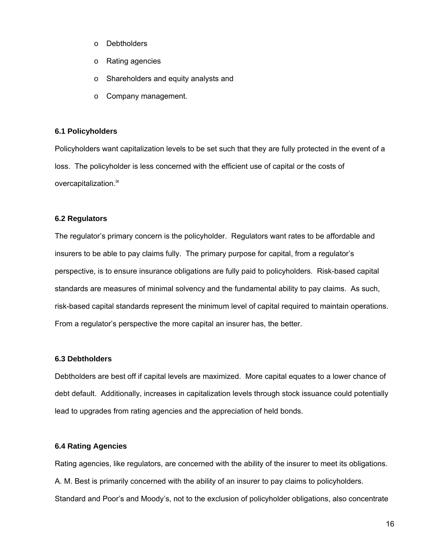- o Debtholders
- o Rating agencies
- o Shareholders and equity analysts and
- o Company management.

### **6.1 Policyholders**

Policyholders want capitalization levels to be set such that they are fully protected in the event of a loss. The policyholder is less concerned with the efficient use of capital or the costs of overcapitalization.<sup>ix</sup>

# **6.2 Regulators**

The regulator's primary concern is the policyholder. Regulators want rates to be affordable and insurers to be able to pay claims fully. The primary purpose for capital, from a regulator's perspective, is to ensure insurance obligations are fully paid to policyholders. Risk-based capital standards are measures of minimal solvency and the fundamental ability to pay claims. As such, risk-based capital standards represent the minimum level of capital required to maintain operations. From a regulator's perspective the more capital an insurer has, the better.

### **6.3 Debtholders**

Debtholders are best off if capital levels are maximized. More capital equates to a lower chance of debt default. Additionally, increases in capitalization levels through stock issuance could potentially lead to upgrades from rating agencies and the appreciation of held bonds.

# **6.4 Rating Agencies**

Rating agencies, like regulators, are concerned with the ability of the insurer to meet its obligations. A. M. Best is primarily concerned with the ability of an insurer to pay claims to policyholders. Standard and Poor's and Moody's, not to the exclusion of policyholder obligations, also concentrate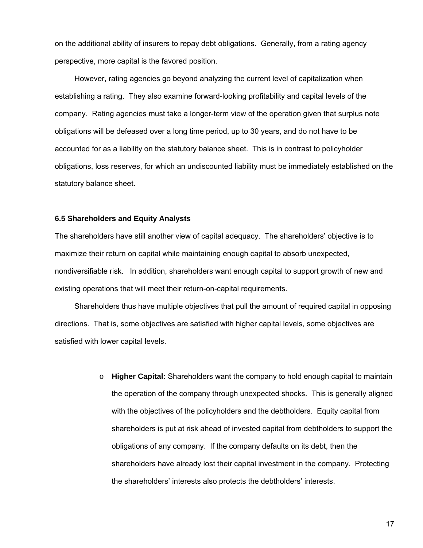on the additional ability of insurers to repay debt obligations. Generally, from a rating agency perspective, more capital is the favored position.

 However, rating agencies go beyond analyzing the current level of capitalization when establishing a rating. They also examine forward-looking profitability and capital levels of the company. Rating agencies must take a longer-term view of the operation given that surplus note obligations will be defeased over a long time period, up to 30 years, and do not have to be accounted for as a liability on the statutory balance sheet. This is in contrast to policyholder obligations, loss reserves, for which an undiscounted liability must be immediately established on the statutory balance sheet.

#### **6.5 Shareholders and Equity Analysts**

The shareholders have still another view of capital adequacy. The shareholders' objective is to maximize their return on capital while maintaining enough capital to absorb unexpected, nondiversifiable risk. In addition, shareholders want enough capital to support growth of new and existing operations that will meet their return-on-capital requirements.

 Shareholders thus have multiple objectives that pull the amount of required capital in opposing directions. That is, some objectives are satisfied with higher capital levels, some objectives are satisfied with lower capital levels.

> o **Higher Capital:** Shareholders want the company to hold enough capital to maintain the operation of the company through unexpected shocks. This is generally aligned with the objectives of the policyholders and the debtholders. Equity capital from shareholders is put at risk ahead of invested capital from debtholders to support the obligations of any company. If the company defaults on its debt, then the shareholders have already lost their capital investment in the company. Protecting the shareholders' interests also protects the debtholders' interests.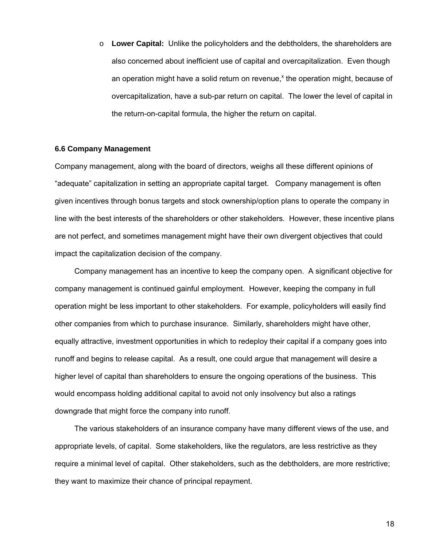o **Lower Capital:**Unlike the policyholders and the debtholders, the shareholders are also concerned about inefficient use of capital and overcapitalization. Even though an operation might have a solid return on revenue,<sup>x</sup> the operation might, because of overcapitalization, have a sub-par return on capital. The lower the level of capital in the return-on-capital formula, the higher the return on capital.

#### **6.6 Company Management**

Company management, along with the board of directors, weighs all these different opinions of "adequate" capitalization in setting an appropriate capital target. Company management is often given incentives through bonus targets and stock ownership/option plans to operate the company in line with the best interests of the shareholders or other stakeholders. However, these incentive plans are not perfect, and sometimes management might have their own divergent objectives that could impact the capitalization decision of the company.

 Company management has an incentive to keep the company open. A significant objective for company management is continued gainful employment. However, keeping the company in full operation might be less important to other stakeholders. For example, policyholders will easily find other companies from which to purchase insurance. Similarly, shareholders might have other, equally attractive, investment opportunities in which to redeploy their capital if a company goes into runoff and begins to release capital. As a result, one could argue that management will desire a higher level of capital than shareholders to ensure the ongoing operations of the business. This would encompass holding additional capital to avoid not only insolvency but also a ratings downgrade that might force the company into runoff.

 The various stakeholders of an insurance company have many different views of the use, and appropriate levels, of capital. Some stakeholders, like the regulators, are less restrictive as they require a minimal level of capital. Other stakeholders, such as the debtholders, are more restrictive; they want to maximize their chance of principal repayment.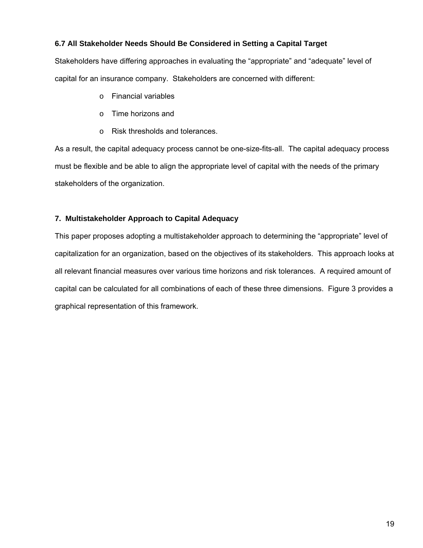# **6.7 All Stakeholder Needs Should Be Considered in Setting a Capital Target**

Stakeholders have differing approaches in evaluating the "appropriate" and "adequate" level of capital for an insurance company. Stakeholders are concerned with different:

- o Financial variables
- o Time horizons and
- o Risk thresholds and tolerances.

As a result, the capital adequacy process cannot be one-size-fits-all. The capital adequacy process must be flexible and be able to align the appropriate level of capital with the needs of the primary stakeholders of the organization.

# **7. Multistakeholder Approach to Capital Adequacy**

This paper proposes adopting a multistakeholder approach to determining the "appropriate" level of capitalization for an organization, based on the objectives of its stakeholders. This approach looks at all relevant financial measures over various time horizons and risk tolerances. A required amount of capital can be calculated for all combinations of each of these three dimensions. Figure 3 provides a graphical representation of this framework.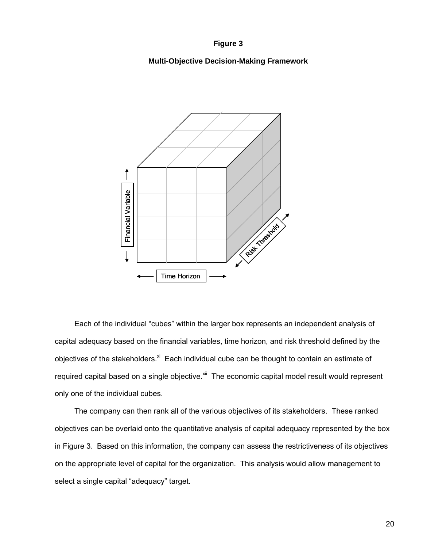#### **Figure 3**

# **Multi-Objective Decision-Making Framework**



 Each of the individual "cubes" within the larger box represents an independent analysis of capital adequacy based on the financial variables, time horizon, and risk threshold defined by the objectives of the stakeholders. $x_i$  Each individual cube can be thought to contain an estimate of required capital based on a single objective.<sup>xii</sup> The economic capital model result would represent only one of the individual cubes. Example 1<br>
Fach of the individual "cubes" within<br>
capital adequacy based on the financial v<br>
objectives of the stakeholders.<sup>xi</sup> Each inc<br>
required capital based on a single objectionly one of the individual cubes.<br>
The c

 The company can then rank all of the various objectives of its stakeholders. These ranked objectives can be overlaid onto the quantitative analysis of capital adequacy represented by the box in Figure 3. Based on this information, the company can assess the restrictiveness of its objectives on the appropriate level of capital for the organization. This analysis would allow management to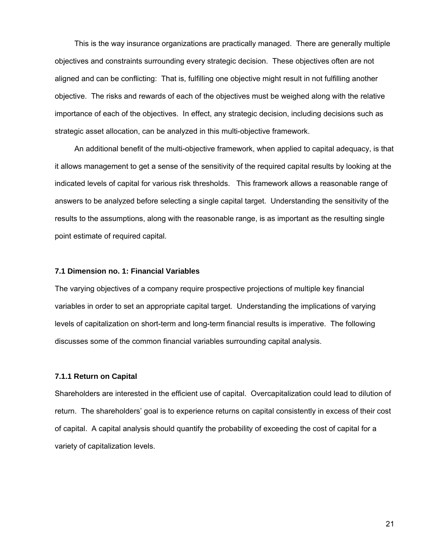This is the way insurance organizations are practically managed. There are generally multiple objectives and constraints surrounding every strategic decision. These objectives often are not aligned and can be conflicting: That is, fulfilling one objective might result in not fulfilling another objective. The risks and rewards of each of the objectives must be weighed along with the relative importance of each of the objectives. In effect, any strategic decision, including decisions such as strategic asset allocation, can be analyzed in this multi-objective framework.

 An additional benefit of the multi-objective framework, when applied to capital adequacy, is that it allows management to get a sense of the sensitivity of the required capital results by looking at the indicated levels of capital for various risk thresholds. This framework allows a reasonable range of answers to be analyzed before selecting a single capital target. Understanding the sensitivity of the results to the assumptions, along with the reasonable range, is as important as the resulting single point estimate of required capital.

#### **7.1 Dimension no. 1: Financial Variables**

The varying objectives of a company require prospective projections of multiple key financial variables in order to set an appropriate capital target. Understanding the implications of varying levels of capitalization on short-term and long-term financial results is imperative. The following discusses some of the common financial variables surrounding capital analysis.

#### **7.1.1 Return on Capital**

Shareholders are interested in the efficient use of capital. Overcapitalization could lead to dilution of return. The shareholders' goal is to experience returns on capital consistently in excess of their cost of capital. A capital analysis should quantify the probability of exceeding the cost of capital for a variety of capitalization levels.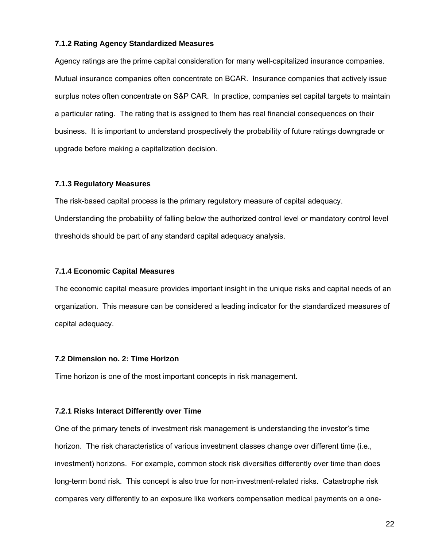### **7.1.2 Rating Agency Standardized Measures**

Agency ratings are the prime capital consideration for many well-capitalized insurance companies. Mutual insurance companies often concentrate on BCAR. Insurance companies that actively issue surplus notes often concentrate on S&P CAR. In practice, companies set capital targets to maintain a particular rating. The rating that is assigned to them has real financial consequences on their business. It is important to understand prospectively the probability of future ratings downgrade or upgrade before making a capitalization decision.

# **7.1.3 Regulatory Measures**

The risk-based capital process is the primary regulatory measure of capital adequacy. Understanding the probability of falling below the authorized control level or mandatory control level thresholds should be part of any standard capital adequacy analysis.

# **7.1.4 Economic Capital Measures**

The economic capital measure provides important insight in the unique risks and capital needs of an organization. This measure can be considered a leading indicator for the standardized measures of capital adequacy.

### **7.2 Dimension no. 2: Time Horizon**

Time horizon is one of the most important concepts in risk management.

### **7.2.1 Risks Interact Differently over Time**

One of the primary tenets of investment risk management is understanding the investor's time horizon. The risk characteristics of various investment classes change over different time (i.e., investment) horizons. For example, common stock risk diversifies differently over time than does long-term bond risk. This concept is also true for non-investment-related risks. Catastrophe risk compares very differently to an exposure like workers compensation medical payments on a one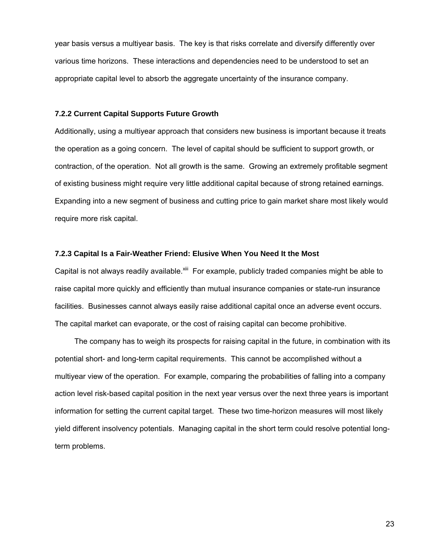year basis versus a multiyear basis. The key is that risks correlate and diversify differently over various time horizons. These interactions and dependencies need to be understood to set an appropriate capital level to absorb the aggregate uncertainty of the insurance company.

#### **7.2.2 Current Capital Supports Future Growth**

Additionally, using a multiyear approach that considers new business is important because it treats the operation as a going concern. The level of capital should be sufficient to support growth, or contraction, of the operation. Not all growth is the same. Growing an extremely profitable segment of existing business might require very little additional capital because of strong retained earnings. Expanding into a new segment of business and cutting price to gain market share most likely would require more risk capital.

#### **7.2.3 Capital Is a Fair-Weather Friend: Elusive When You Need It the Most**

Capital is not always readily available.<sup>xiii</sup> For example, publicly traded companies might be able to raise capital more quickly and efficiently than mutual insurance companies or state-run insurance facilities. Businesses cannot always easily raise additional capital once an adverse event occurs. The capital market can evaporate, or the cost of raising capital can become prohibitive.

 The company has to weigh its prospects for raising capital in the future, in combination with its potential short- and long-term capital requirements. This cannot be accomplished without a multiyear view of the operation. For example, comparing the probabilities of falling into a company action level risk-based capital position in the next year versus over the next three years is important information for setting the current capital target. These two time-horizon measures will most likely yield different insolvency potentials. Managing capital in the short term could resolve potential longterm problems.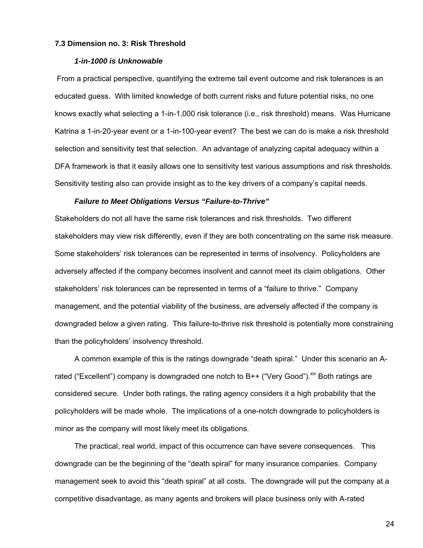#### **7.3 Dimension no. 3: Risk Threshold**

#### *1-in-1000 is Unknowable*

From a practical perspective, quantifying the extreme tail event outcome and risk tolerances is an educated guess. With limited knowledge of both current risks and future potential risks, no one knows exactly what selecting a 1-in-1,000 risk tolerance (i.e., risk threshold) means. Was Hurricane Katrina a 1-in-20-year event or a 1-in-100-year event? The best we can do is make a risk threshold selection and sensitivity test that selection. An advantage of analyzing capital adequacy within a DFA framework is that it easily allows one to sensitivity test various assumptions and risk thresholds. Sensitivity testing also can provide insight as to the key drivers of a company's capital needs.

#### *Failure to Meet Obligations Versus "Failure-to-Thrive"*

Stakeholders do not all have the same risk tolerances and risk thresholds. Two different stakeholders may view risk differently, even if they are both concentrating on the same risk measure. Some stakeholders' risk tolerances can be represented in terms of insolvency. Policyholders are adversely affected if the company becomes insolvent and cannot meet its claim obligations. Other stakeholders' risk tolerances can be represented in terms of a "failure to thrive." Company management, and the potential viability of the business, are adversely affected if the company is downgraded below a given rating. This failure-to-thrive risk threshold is potentially more constraining than the policyholders' insolvency threshold.

 A common example of this is the ratings downgrade "death spiral." Under this scenario an Arated ("Excellent") company is downgraded one notch to B++ ("Very Good").  $\frac{x}{y}$  Both ratings are considered secure. Under both ratings, the rating agency considers it a high probability that the policyholders will be made whole. The implications of a one-notch downgrade to policyholders is minor as the company will most likely meet its obligations.

 The practical, real world, impact of this occurrence can have severe consequences. This downgrade can be the beginning of the "death spiral" for many insurance companies. Company management seek to avoid this "death spiral" at all costs. The downgrade will put the company at a competitive disadvantage, as many agents and brokers will place business only with A-rated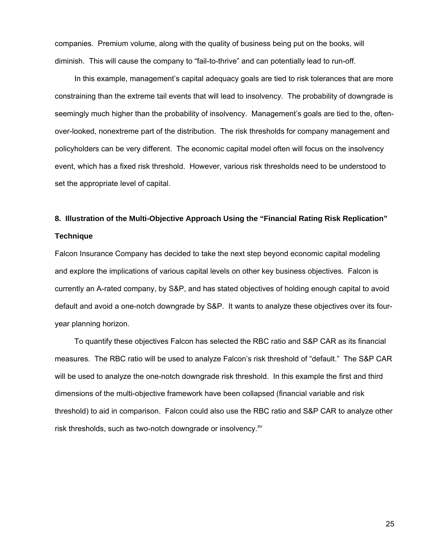companies. Premium volume, along with the quality of business being put on the books, will diminish. This will cause the company to "fail-to-thrive" and can potentially lead to run-off.

 In this example, management's capital adequacy goals are tied to risk tolerances that are more constraining than the extreme tail events that will lead to insolvency. The probability of downgrade is seemingly much higher than the probability of insolvency. Management's goals are tied to the, oftenover-looked, nonextreme part of the distribution. The risk thresholds for company management and policyholders can be very different. The economic capital model often will focus on the insolvency event, which has a fixed risk threshold. However, various risk thresholds need to be understood to set the appropriate level of capital.

# **8. Illustration of the Multi-Objective Approach Using the "Financial Rating Risk Replication" Technique**

Falcon Insurance Company has decided to take the next step beyond economic capital modeling and explore the implications of various capital levels on other key business objectives. Falcon is currently an A-rated company, by S&P, and has stated objectives of holding enough capital to avoid default and avoid a one-notch downgrade by S&P. It wants to analyze these objectives over its fouryear planning horizon.

 To quantify these objectives Falcon has selected the RBC ratio and S&P CAR as its financial measures. The RBC ratio will be used to analyze Falcon's risk threshold of "default." The S&P CAR will be used to analyze the one-notch downgrade risk threshold. In this example the first and third dimensions of the multi-objective framework have been collapsed (financial variable and risk threshold) to aid in comparison. Falcon could also use the RBC ratio and S&P CAR to analyze other risk thresholds, such as two-notch downgrade or insolvency.<sup>xv</sup>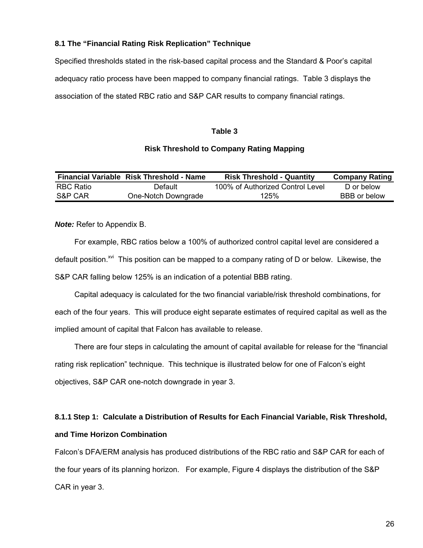# **8.1 The "Financial Rating Risk Replication" Technique**

Specified thresholds stated in the risk-based capital process and the Standard & Poor's capital adequacy ratio process have been mapped to company financial ratings. Table 3 displays the association of the stated RBC ratio and S&P CAR results to company financial ratings.

### **Table 3**

# **Risk Threshold to Company Rating Mapping**

|           | <b>Financial Variable Risk Threshold - Name</b> | <b>Risk Threshold - Quantity</b> | <b>Company Rating</b> |
|-----------|-------------------------------------------------|----------------------------------|-----------------------|
| RBC Ratio | Default                                         | 100% of Authorized Control Level | D or below            |
| S&P CAR   | One-Notch Downgrade                             | 125%                             | BBB or below          |

*Note:* Refer to Appendix B.

 For example, RBC ratios below a 100% of authorized control capital level are considered a default position.<sup> $xvi$ </sup> This position can be mapped to a company rating of D or below. Likewise, the S&P CAR falling below 125% is an indication of a potential BBB rating.

 Capital adequacy is calculated for the two financial variable/risk threshold combinations, for each of the four years. This will produce eight separate estimates of required capital as well as the implied amount of capital that Falcon has available to release.

 There are four steps in calculating the amount of capital available for release for the "financial rating risk replication" technique. This technique is illustrated below for one of Falcon's eight objectives, S&P CAR one-notch downgrade in year 3.

# **8.1.1 Step 1: Calculate a Distribution of Results for Each Financial Variable, Risk Threshold, and Time Horizon Combination**

Falcon's DFA/ERM analysis has produced distributions of the RBC ratio and S&P CAR for each of the four years of its planning horizon. For example, Figure 4 displays the distribution of the S&P CAR in year 3.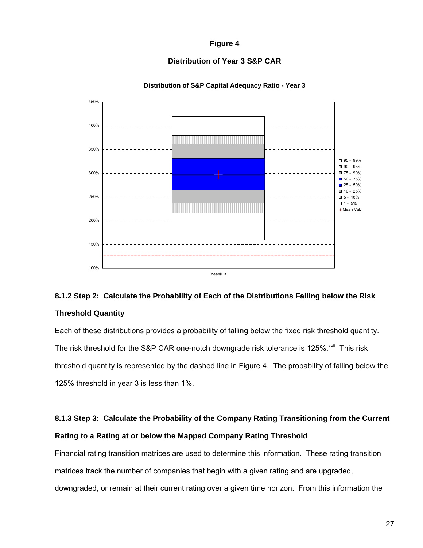# **Figure 4**

# **Distribution of Year 3 S&P CAR**

![](_page_26_Figure_2.jpeg)

#### **Distribution of S&P Capital Adequacy Ratio - Year 3**

# **8.1.2 Step 2: Calculate the Probability of Each of the Distributions Falling below the Risk Threshold Quantity**

Each of these distributions provides a probability of falling below the fixed risk threshold quantity. The risk threshold for the S&P CAR one-notch downgrade risk tolerance is 125%.<sup>xvii</sup> This risk threshold quantity is represented by the dashed line in Figure 4. The probability of falling below the 125% threshold in year 3 is less than 1%.

# **8.1.3 Step 3: Calculate the Probability of the Company Rating Transitioning from the Current Rating to a Rating at or below the Mapped Company Rating Threshold**

Financial rating transition matrices are used to determine this information. These rating transition matrices track the number of companies that begin with a given rating and are upgraded, downgraded, or remain at their current rating over a given time horizon. From this information the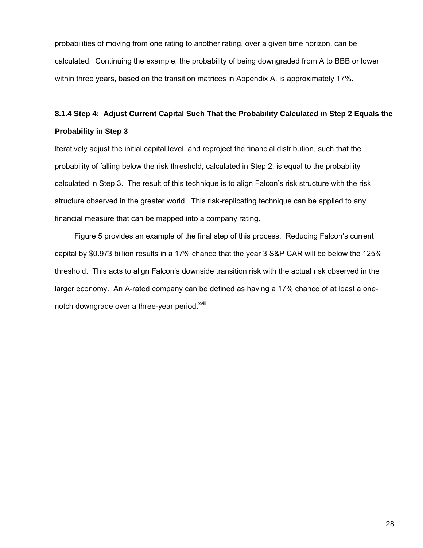probabilities of moving from one rating to another rating, over a given time horizon, can be calculated. Continuing the example, the probability of being downgraded from A to BBB or lower within three years, based on the transition matrices in Appendix A, is approximately 17%.

# **8.1.4 Step 4: Adjust Current Capital Such That the Probability Calculated in Step 2 Equals the Probability in Step 3**

Iteratively adjust the initial capital level, and reproject the financial distribution, such that the probability of falling below the risk threshold, calculated in Step 2, is equal to the probability calculated in Step 3. The result of this technique is to align Falcon's risk structure with the risk structure observed in the greater world. This risk-replicating technique can be applied to any financial measure that can be mapped into a company rating.

 Figure 5 provides an example of the final step of this process. Reducing Falcon's current capital by \$0.973 billion results in a 17% chance that the year 3 S&P CAR will be below the 125% threshold. This acts to align Falcon's downside transition risk with the actual risk observed in the larger economy. An A-rated company can be defined as having a 17% chance of at least a onenotch downgrade over a three-year period.<sup>xviii</sup>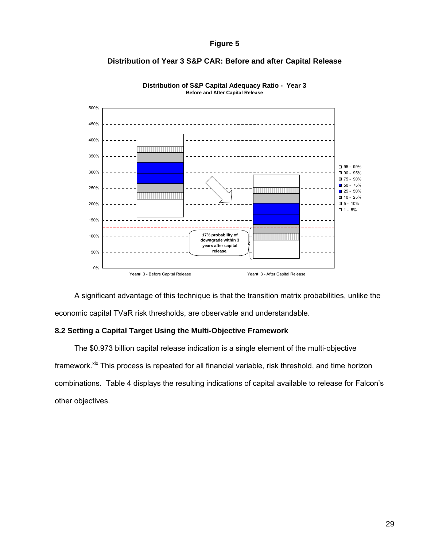### **Figure 5**

# **Distribution of Year 3 S&P CAR: Before and after Capital Release**

![](_page_28_Figure_2.jpeg)

**Distribution of S&P Capital Adequacy Ratio - Year 3 Before and After Capital Release**

 A significant advantage of this technique is that the transition matrix probabilities, unlike the economic capital TVaR risk thresholds, are observable and understandable.

# **8.2 Setting a Capital Target Using the Multi-Objective Framework**

 The \$0.973 billion capital release indication is a single element of the multi-objective framework.<sup>xix</sup> This process is repeated for all financial variable, risk threshold, and time horizon combinations. Table 4 displays the resulting indications of capital available to release for Falcon's other objectives.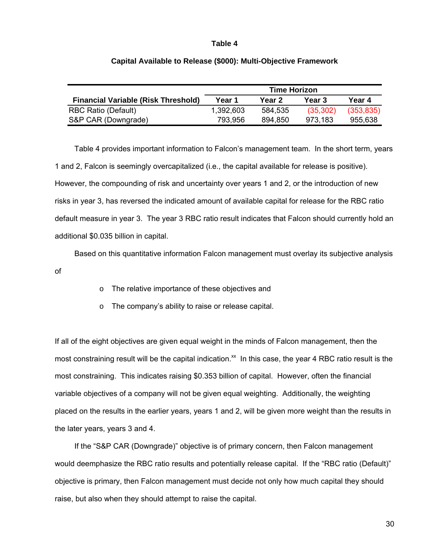#### **Table 4**

|                                            | <b>Time Horizon</b> |         |           |            |  |  |
|--------------------------------------------|---------------------|---------|-----------|------------|--|--|
| <b>Financial Variable (Risk Threshold)</b> | Year 1              | Year 2  | Year 3    | Year 4     |  |  |
| <b>RBC Ratio (Default)</b>                 | 1,392,603           | 584,535 | (35, 302) | (353, 835) |  |  |
| S&P CAR (Downgrade)                        | 793.956             | 894.850 | 973,183   | 955,638    |  |  |

#### **Capital Available to Release (\$000): Multi-Objective Framework**

 Table 4 provides important information to Falcon's management team. In the short term, years 1 and 2, Falcon is seemingly overcapitalized (i.e., the capital available for release is positive). However, the compounding of risk and uncertainty over years 1 and 2, or the introduction of new risks in year 3, has reversed the indicated amount of available capital for release for the RBC ratio default measure in year 3. The year 3 RBC ratio result indicates that Falcon should currently hold an additional \$0.035 billion in capital.

 Based on this quantitative information Falcon management must overlay its subjective analysis of

- o The relative importance of these objectives and
- o The company's ability to raise or release capital.

If all of the eight objectives are given equal weight in the minds of Falcon management, then the most constraining result will be the capital indication.<sup> $x$ </sup> In this case, the year 4 RBC ratio result is the most constraining. This indicates raising \$0.353 billion of capital. However, often the financial variable objectives of a company will not be given equal weighting. Additionally, the weighting placed on the results in the earlier years, years 1 and 2, will be given more weight than the results in the later years, years 3 and 4.

 If the "S&P CAR (Downgrade)" objective is of primary concern, then Falcon management would deemphasize the RBC ratio results and potentially release capital. If the "RBC ratio (Default)" objective is primary, then Falcon management must decide not only how much capital they should raise, but also when they should attempt to raise the capital.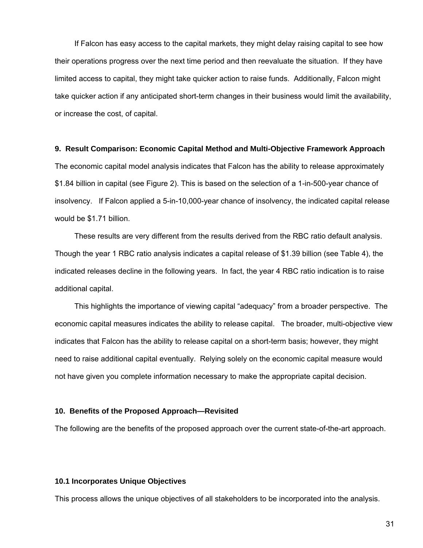If Falcon has easy access to the capital markets, they might delay raising capital to see how their operations progress over the next time period and then reevaluate the situation. If they have limited access to capital, they might take quicker action to raise funds. Additionally, Falcon might take quicker action if any anticipated short-term changes in their business would limit the availability, or increase the cost, of capital.

#### **9. Result Comparison: Economic Capital Method and Multi-Objective Framework Approach**

The economic capital model analysis indicates that Falcon has the ability to release approximately \$1.84 billion in capital (see Figure 2). This is based on the selection of a 1-in-500-year chance of insolvency. If Falcon applied a 5-in-10,000-year chance of insolvency, the indicated capital release would be \$1.71 billion.

 These results are very different from the results derived from the RBC ratio default analysis. Though the year 1 RBC ratio analysis indicates a capital release of \$1.39 billion (see Table 4), the indicated releases decline in the following years. In fact, the year 4 RBC ratio indication is to raise additional capital.

 This highlights the importance of viewing capital "adequacy" from a broader perspective. The economic capital measures indicates the ability to release capital. The broader, multi-objective view indicates that Falcon has the ability to release capital on a short-term basis; however, they might need to raise additional capital eventually. Relying solely on the economic capital measure would not have given you complete information necessary to make the appropriate capital decision.

#### **10. Benefits of the Proposed Approach—Revisited**

The following are the benefits of the proposed approach over the current state-of-the-art approach.

# **10.1 Incorporates Unique Objectives**

This process allows the unique objectives of all stakeholders to be incorporated into the analysis.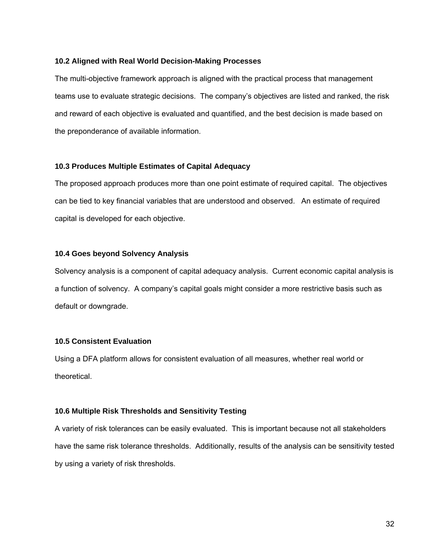#### **10.2 Aligned with Real World Decision-Making Processes**

The multi-objective framework approach is aligned with the practical process that management teams use to evaluate strategic decisions. The company's objectives are listed and ranked, the risk and reward of each objective is evaluated and quantified, and the best decision is made based on the preponderance of available information.

### **10.3 Produces Multiple Estimates of Capital Adequacy**

The proposed approach produces more than one point estimate of required capital. The objectives can be tied to key financial variables that are understood and observed. An estimate of required capital is developed for each objective.

# **10.4 Goes beyond Solvency Analysis**

Solvency analysis is a component of capital adequacy analysis. Current economic capital analysis is a function of solvency. A company's capital goals might consider a more restrictive basis such as default or downgrade.

# **10.5 Consistent Evaluation**

Using a DFA platform allows for consistent evaluation of all measures, whether real world or theoretical.

# **10.6 Multiple Risk Thresholds and Sensitivity Testing**

A variety of risk tolerances can be easily evaluated. This is important because not all stakeholders have the same risk tolerance thresholds. Additionally, results of the analysis can be sensitivity tested by using a variety of risk thresholds.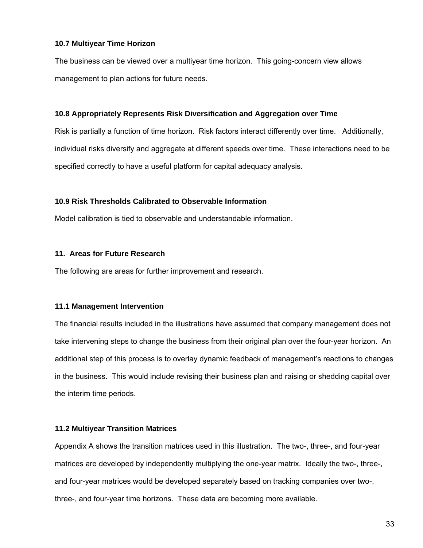# **10.7 Multiyear Time Horizon**

The business can be viewed over a multiyear time horizon. This going-concern view allows management to plan actions for future needs.

### **10.8 Appropriately Represents Risk Diversification and Aggregation over Time**

Risk is partially a function of time horizon. Risk factors interact differently over time. Additionally, individual risks diversify and aggregate at different speeds over time. These interactions need to be specified correctly to have a useful platform for capital adequacy analysis.

# **10.9 Risk Thresholds Calibrated to Observable Information**

Model calibration is tied to observable and understandable information.

# **11. Areas for Future Research**

The following are areas for further improvement and research.

# **11.1 Management Intervention**

The financial results included in the illustrations have assumed that company management does not take intervening steps to change the business from their original plan over the four-year horizon. An additional step of this process is to overlay dynamic feedback of management's reactions to changes in the business. This would include revising their business plan and raising or shedding capital over the interim time periods.

### **11.2 Multiyear Transition Matrices**

Appendix A shows the transition matrices used in this illustration. The two-, three-, and four-year matrices are developed by independently multiplying the one-year matrix. Ideally the two-, three-, and four-year matrices would be developed separately based on tracking companies over two-, three-, and four-year time horizons. These data are becoming more available.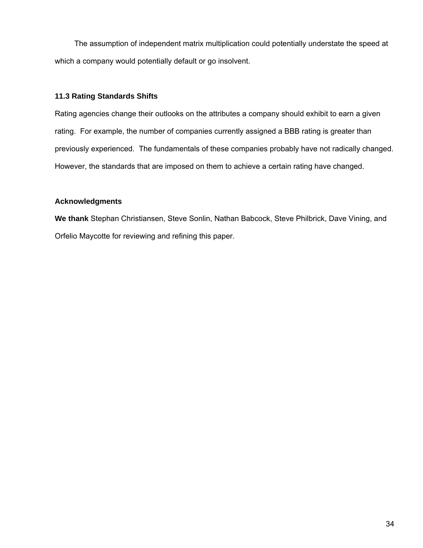The assumption of independent matrix multiplication could potentially understate the speed at which a company would potentially default or go insolvent.

# **11.3 Rating Standards Shifts**

Rating agencies change their outlooks on the attributes a company should exhibit to earn a given rating. For example, the number of companies currently assigned a BBB rating is greater than previously experienced. The fundamentals of these companies probably have not radically changed. However, the standards that are imposed on them to achieve a certain rating have changed.

# **Acknowledgments**

**We thank** Stephan Christiansen, Steve Sonlin, Nathan Babcock, Steve Philbrick, Dave Vining, and Orfelio Maycotte for reviewing and refining this paper.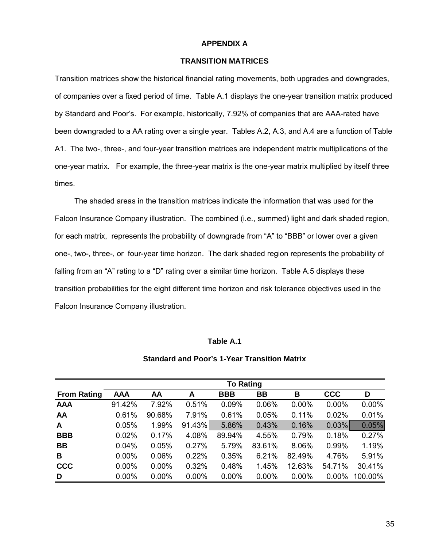#### **APPENDIX A**

# **TRANSITION MATRICES**

Transition matrices show the historical financial rating movements, both upgrades and downgrades, of companies over a fixed period of time. Table A.1 displays the one-year transition matrix produced by Standard and Poor's. For example, historically, 7.92% of companies that are AAA-rated have been downgraded to a AA rating over a single year. Tables A.2, A.3, and A.4 are a function of Table A1. The two-, three-, and four-year transition matrices are independent matrix multiplications of the one-year matrix. For example, the three-year matrix is the one-year matrix multiplied by itself three times.

 The shaded areas in the transition matrices indicate the information that was used for the Falcon Insurance Company illustration. The combined (i.e., summed) light and dark shaded region, for each matrix, represents the probability of downgrade from "A" to "BBB" or lower over a given one-, two-, three-, or four-year time horizon. The dark shaded region represents the probability of falling from an "A" rating to a "D" rating over a similar time horizon. Table A.5 displays these transition probabilities for the eight different time horizon and risk tolerance objectives used in the Falcon Insurance Company illustration.

#### **Table A.1**

### **Standard and Poor's 1-Year Transition Matrix**

|                    | <b>To Rating</b> |          |          |            |           |        |            |         |
|--------------------|------------------|----------|----------|------------|-----------|--------|------------|---------|
| <b>From Rating</b> | <b>AAA</b>       | AA       | A        | <b>BBB</b> | <b>BB</b> | В      | <b>CCC</b> | D       |
| <b>AAA</b>         | 91.42%           | 7.92%    | 0.51%    | 0.09%      | 0.06%     | 0.00%  | 0.00%      | 0.00%   |
| AA                 | 0.61%            | 90.68%   | 7.91%    | 0.61%      | 0.05%     | 0.11%  | 0.02%      | 0.01%   |
| A                  | 0.05%            | 1.99%    | 91.43%   | 5.86%      | 0.43%     | 0.16%  | 0.03%      | 0.05%   |
| <b>BBB</b>         | 0.02%            | 0.17%    | 4.08%    | 89.94%     | 4.55%     | 0.79%  | 0.18%      | 0.27%   |
| <b>BB</b>          | 0.04%            | 0.05%    | 0.27%    | 5.79%      | 83.61%    | 8.06%  | 0.99%      | 1.19%   |
| B                  | $0.00\%$         | 0.06%    | 0.22%    | 0.35%      | 6.21%     | 82.49% | 4.76%      | 5.91%   |
| <b>CCC</b>         | $0.00\%$         | 0.00%    | 0.32%    | 0.48%      | 1.45%     | 12.63% | 54.71%     | 30.41%  |
| D                  | $0.00\%$         | $0.00\%$ | $0.00\%$ | $0.00\%$   | 0.00%     | 0.00%  | $0.00\%$   | 100.00% |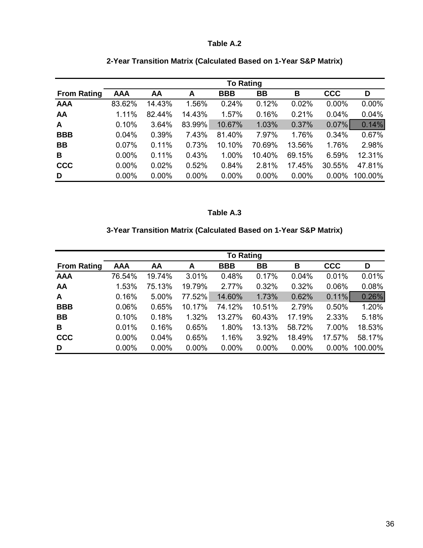# **Table A.2**

|                    | <b>To Rating</b> |          |          |            |           |          |            |         |
|--------------------|------------------|----------|----------|------------|-----------|----------|------------|---------|
| <b>From Rating</b> | <b>AAA</b>       | AA       | A        | <b>BBB</b> | <b>BB</b> | B        | <b>CCC</b> | D       |
| <b>AAA</b>         | 83.62%           | 14.43%   | 1.56%    | 0.24%      | 0.12%     | 0.02%    | 0.00%      | 0.00%   |
| AA                 | 1.11%            | 82.44%   | 14.43%   | 1.57%      | 0.16%     | 0.21%    | 0.04%      | 0.04%   |
| A                  | 0.10%            | 3.64%    | 83.99%   | 10.67%     | 1.03%     | 0.37%    | $0.07\%$   | 0.14%   |
| <b>BBB</b>         | 0.04%            | 0.39%    | 7.43%    | 81.40%     | 7.97%     | 1.76%    | 0.34%      | 0.67%   |
| <b>BB</b>          | 0.07%            | 0.11%    | 0.73%    | 10.10%     | 70.69%    | 13.56%   | 1.76%      | 2.98%   |
| B                  | $0.00\%$         | 0.11%    | 0.43%    | 1.00%      | 10.40%    | 69.15%   | 6.59%      | 12.31%  |
| <b>CCC</b>         | $0.00\%$         | 0.02%    | 0.52%    | 0.84%      | 2.81%     | 17.45%   | 30.55%     | 47.81%  |
| D                  | $0.00\%$         | $0.00\%$ | $0.00\%$ | 0.00%      | $0.00\%$  | $0.00\%$ | 0.00%      | 100.00% |

# **2-Year Transition Matrix (Calculated Based on 1-Year S&P Matrix)**

# **Table A.3**

# **3-Year Transition Matrix (Calculated Based on 1-Year S&P Matrix)**

|                    | <b>To Rating</b> |          |          |            |           |        |            |         |
|--------------------|------------------|----------|----------|------------|-----------|--------|------------|---------|
| <b>From Rating</b> | <b>AAA</b>       | AA       | A        | <b>BBB</b> | <b>BB</b> | В      | <b>CCC</b> | D       |
| <b>AAA</b>         | 76.54%           | 19.74%   | 3.01%    | 0.48%      | 0.17%     | 0.04%  | 0.01%      | 0.01%   |
| AA                 | 1.53%            | 75.13%   | 19.79%   | 2.77%      | 0.32%     | 0.32%  | 0.06%      | 0.08%   |
| A                  | 0.16%            | 5.00%    | 77.52%   | 14.60%     | 1.73%     | 0.62%  | $0.11\%$   | 0.26%   |
| <b>BBB</b>         | 0.06%            | 0.65%    | 10.17%   | 74.12%     | 10.51%    | 2.79%  | 0.50%      | 1.20%   |
| <b>BB</b>          | 0.10%            | 0.18%    | 1.32%    | 13.27%     | 60.43%    | 17.19% | 2.33%      | 5.18%   |
| B                  | 0.01%            | 0.16%    | 0.65%    | 1.80%      | 13.13%    | 58.72% | 7.00%      | 18.53%  |
| <b>CCC</b>         | $0.00\%$         | 0.04%    | 0.65%    | 1.16%      | 3.92%     | 18.49% | 17.57%     | 58.17%  |
| D                  | $0.00\%$         | $0.00\%$ | $0.00\%$ | $0.00\%$   | $0.00\%$  | 0.00%  | 0.00%      | 100.00% |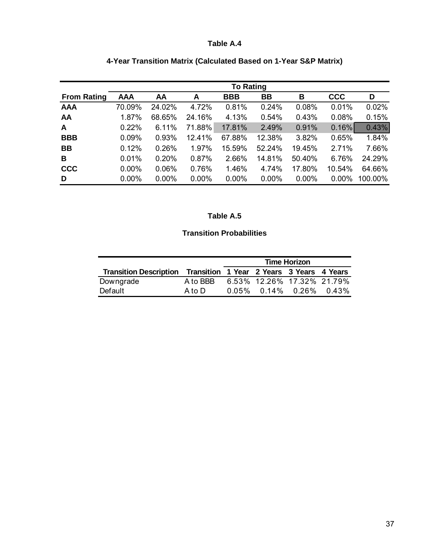# **Table A.4**

|                    | <b>To Rating</b> |          |          |            |           |        |            |         |
|--------------------|------------------|----------|----------|------------|-----------|--------|------------|---------|
| <b>From Rating</b> | <b>AAA</b>       | AA       | A        | <b>BBB</b> | <b>BB</b> | B      | <b>CCC</b> | D       |
| <b>AAA</b>         | 70.09%           | 24.02%   | 4.72%    | 0.81%      | 0.24%     | 0.08%  | 0.01%      | 0.02%   |
| AA                 | 1.87%            | 68.65%   | 24.16%   | 4.13%      | 0.54%     | 0.43%  | 0.08%      | 0.15%   |
| A                  | 0.22%            | 6.11%    | 71.88%   | 17.81%     | 2.49%     | 0.91%  | 0.16%      | 0.43%   |
| <b>BBB</b>         | 0.09%            | 0.93%    | 12.41%   | 67.88%     | 12.38%    | 3.82%  | 0.65%      | 1.84%   |
| <b>BB</b>          | 0.12%            | 0.26%    | 1.97%    | 15.59%     | 52.24%    | 19.45% | 2.71%      | 7.66%   |
| B                  | 0.01%            | 0.20%    | 0.87%    | 2.66%      | 14.81%    | 50.40% | 6.76%      | 24.29%  |
| <b>CCC</b>         | $0.00\%$         | 0.06%    | 0.76%    | 1.46%      | 4.74%     | 17.80% | 10.54%     | 64.66%  |
| D                  | $0.00\%$         | $0.00\%$ | $0.00\%$ | $0.00\%$   | $0.00\%$  | 0.00%  | 0.00%      | 100.00% |

# **4-Year Transition Matrix (Calculated Based on 1-Year S&P Matrix)**

# **Table A.5**

# **Transition Probabilities**

|                                                                  |          | <b>Time Horizon</b> |                            |  |  |
|------------------------------------------------------------------|----------|---------------------|----------------------------|--|--|
| Transition Description Transition 1 Year 2 Years 3 Years 4 Years |          |                     |                            |  |  |
| Downgrade                                                        | A to BBB |                     | 6.53% 12.26% 17.32% 21.79% |  |  |
| Default                                                          | A to D   |                     | $0.05\%$ 0.14% 0.26% 0.43% |  |  |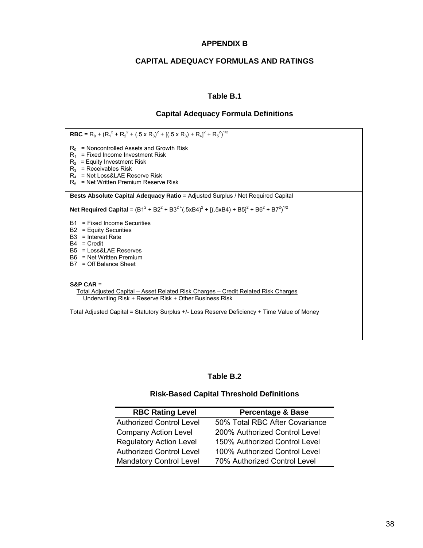# **APPENDIX B**

# **CAPITAL ADEQUACY FORMULAS AND RATINGS**

## **Table B.1**

#### **Capital Adequacy Formula Definitions**

**RBC** = R<sub>0</sub> + (R<sub>1</sub><sup>2</sup> + R<sub>2</sub><sup>2</sup> + (.5 x R<sub>3</sub>)<sup>2</sup> + [(.5 x R<sub>3</sub>) + R<sub>4</sub>]<sup>2</sup> + R<sub>5</sub><sup>2</sup>)<sup>1/2</sup>  $R_0$  = Noncontrolled Assets and Growth Risk  $R_1$  = Fixed Income Investment Risk  $R_2$  = Equity Investment Risk  $R_3$  = Receivables Risk R4 = Net Loss&LAE Reserve Risk  $R_5$  = Net Written Premium Reserve Risk **Bests Absolute Capital Adequacy Ratio** = Adjusted Surplus / Net Required Capital **Net Required Capital** =  $(B1^2 + B2^2 + B3^2 + (.5 \times B4)^2 + [(.5 \times B4) + B5]^2 + B6^2 + B7^2)^{1/2}$ B1 = Fixed Income Securities B2 = Equity Securities B3 = Interest Rate B4 = Credit B5 = Loss&LAE Reserves B6 = Net Written Premium B7 = Off Balance Sheet **S&P CAR** = Total Adjusted Capital – Asset Related Risk Charges – Credit Related Risk Charges Underwriting Risk + Reserve Risk + Other Business Risk Total Adjusted Capital = Statutory Surplus +/- Loss Reserve Deficiency + Time Value of Money

### **Table B.2**

### **Risk-Based Capital Threshold Definitions**

| <b>RBC Rating Level</b>         | <b>Percentage &amp; Base</b>   |
|---------------------------------|--------------------------------|
| <b>Authorized Control Level</b> | 50% Total RBC After Covariance |
| <b>Company Action Level</b>     | 200% Authorized Control Level  |
| <b>Regulatory Action Level</b>  | 150% Authorized Control Level  |
| <b>Authorized Control Level</b> | 100% Authorized Control Level  |
| <b>Mandatory Control Level</b>  | 70% Authorized Control Level   |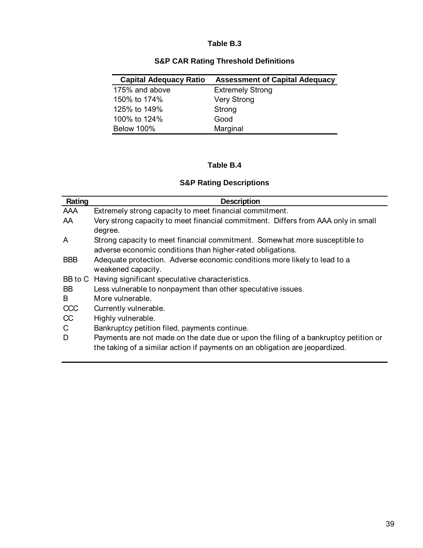# **Table B.3**

|  |  |  |  | <b>S&amp;P CAR Rating Threshold Definitions</b> |
|--|--|--|--|-------------------------------------------------|
|--|--|--|--|-------------------------------------------------|

| <b>Capital Adequacy Ratio</b> | <b>Assessment of Capital Adequacy</b> |
|-------------------------------|---------------------------------------|
| 175% and above                | <b>Extremely Strong</b>               |
| 150% to 174%                  | <b>Very Strong</b>                    |
| 125% to 149%                  | Strong                                |
| 100% to 124%                  | Good                                  |
| <b>Below 100%</b>             | Marginal                              |

# **Table B.4**

# **S&P Rating Descriptions**

| Rating     | <b>Description</b>                                                                   |
|------------|--------------------------------------------------------------------------------------|
| AAA        | Extremely strong capacity to meet financial commitment.                              |
| AA         | Very strong capacity to meet financial commitment. Differs from AAA only in small    |
|            | degree.                                                                              |
| A          | Strong capacity to meet financial commitment. Somewhat more susceptible to           |
|            | adverse economic conditions than higher-rated obligations.                           |
| <b>BBB</b> | Adequate protection. Adverse economic conditions more likely to lead to a            |
|            | weakened capacity.                                                                   |
|            | BB to C Having significant speculative characteristics.                              |
| <b>BB</b>  | Less vulnerable to nonpayment than other speculative issues.                         |
| B          | More vulnerable.                                                                     |
| CCC        | Currently vulnerable.                                                                |
| CC         | Highly vulnerable.                                                                   |
| C          | Bankruptcy petition filed, payments continue.                                        |
| D          | Payments are not made on the date due or upon the filing of a bankruptcy petition or |
|            | the taking of a similar action if payments on an obligation are jeopardized.         |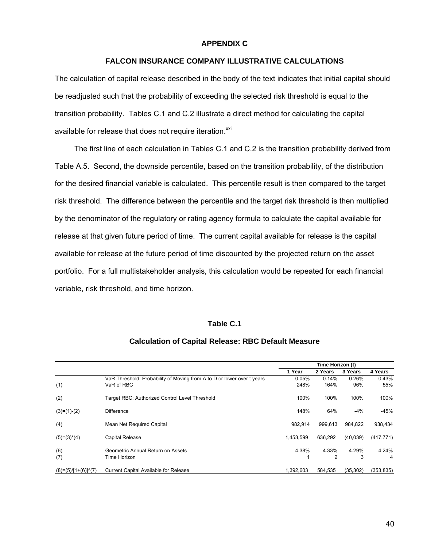#### **APPENDIX C**

## **FALCON INSURANCE COMPANY ILLUSTRATIVE CALCULATIONS**

The calculation of capital release described in the body of the text indicates that initial capital should be readjusted such that the probability of exceeding the selected risk threshold is equal to the transition probability. Tables C.1 and C.2 illustrate a direct method for calculating the capital available for release that does not require iteration.<sup>xxi</sup>

 The first line of each calculation in Tables C.1 and C.2 is the transition probability derived from Table A.5. Second, the downside percentile, based on the transition probability, of the distribution for the desired financial variable is calculated. This percentile result is then compared to the target risk threshold. The difference between the percentile and the target risk threshold is then multiplied by the denominator of the regulatory or rating agency formula to calculate the capital available for release at that given future period of time. The current capital available for release is the capital available for release at the future period of time discounted by the projected return on the asset portfolio. For a full multistakeholder analysis, this calculation would be repeated for each financial variable, risk threshold, and time horizon.

### **Table C.1**

#### **Calculation of Capital Release: RBC Default Measure**

|                      |                                                                        | Time Horizon (t) |         |          |            |
|----------------------|------------------------------------------------------------------------|------------------|---------|----------|------------|
|                      |                                                                        | 1 Year           | 2 Years | 3 Years  | 4 Years    |
|                      | VaR Threshold: Probability of Moving from A to D or lower over t years | 0.05%            | 0.14%   | 0.26%    | 0.43%      |
| (1)                  | VaR of RBC                                                             | 248%             | 164%    | 96%      | 55%        |
| (2)                  | Target RBC: Authorized Control Level Threshold                         | 100%             | 100%    | 100%     | 100%       |
| $(3)=(1)-(2)$        | <b>Difference</b>                                                      | 148%             | 64%     | $-4%$    | $-45%$     |
| (4)                  | Mean Net Required Capital                                              | 982.914          | 999.613 | 984.822  | 938,434    |
| $(5)=(3)^*(4)$       | Capital Release                                                        | 1.453.599        | 636.292 | (40.039) | (417, 771) |
| (6)                  | Geometric Annual Return on Assets                                      | 4.38%            | 4.33%   | 4.29%    | 4.24%      |
| (7)                  | Time Horizon                                                           |                  | 2       | 3        | 4          |
| $(8)=(5)/[1+(6)](7)$ | <b>Current Capital Available for Release</b>                           | 1.392.603        | 584.535 | (35.302) | (353, 835) |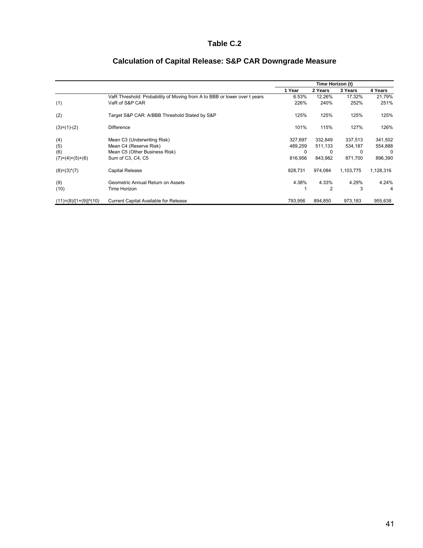# **Table C.2**

|                              |                                                                          | Time Horizon (t) |         |           |           |
|------------------------------|--------------------------------------------------------------------------|------------------|---------|-----------|-----------|
|                              |                                                                          | 1 Year           | 2 Years | 3 Years   | 4 Years   |
|                              | VaR Threshold: Probability of Moving from A to BBB or lower over t years | 6.53%            | 12.26%  | 17.32%    | 21.79%    |
| (1)                          | VaR of S&P CAR                                                           | 226%             | 240%    | 252%      | 251%      |
| (2)                          | Target S&P CAR: A/BBB Threshold Stated by S&P                            | 125%             | 125%    | 125%      | 125%      |
| $(3)=(1)-(2)$                | <b>Difference</b>                                                        | 101%             | 115%    | 127%      | 126%      |
| (4)                          | Mean C3 (Underwriting Risk)                                              | 327,697          | 332,849 | 337,513   | 341,502   |
| (5)                          | Mean C4 (Reserve Risk)                                                   | 489,259          | 511,133 | 534,187   | 554,888   |
| (6)                          | Mean C5 (Other Business Risk)                                            | 0                |         | 0         | 0         |
| $(7)=(4)+(5)+(6)$            | Sum of C3, C4, C5                                                        | 816,956          | 843,982 | 871,700   | 896,390   |
| $(8)=(3)^*(7)$               | Capital Release                                                          | 828,731          | 974,084 | 1,103,775 | 1,128,316 |
| (9)                          | Geometric Annual Return on Assets                                        | 4.38%            | 4.33%   | 4.29%     | 4.24%     |
| (10)                         | Time Horizon                                                             |                  | 2       | 3         | 4         |
| $(11)=(8)/[1+(9)]^{(1)}(10)$ | Current Capital Available for Release                                    | 793,956          | 894,850 | 973,183   | 955,638   |

# **Calculation of Capital Release: S&P CAR Downgrade Measure**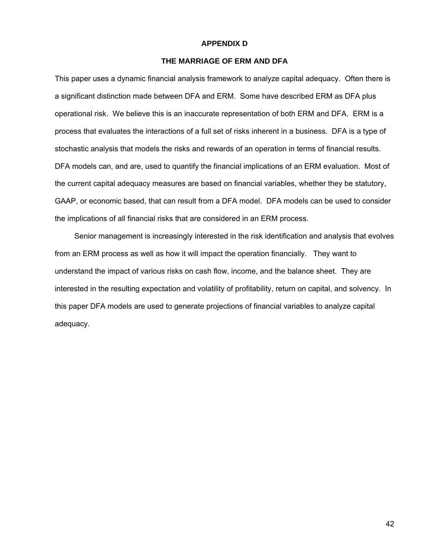#### **APPENDIX D**

# **THE MARRIAGE OF ERM AND DFA**

This paper uses a dynamic financial analysis framework to analyze capital adequacy. Often there is a significant distinction made between DFA and ERM. Some have described ERM as DFA plus operational risk. We believe this is an inaccurate representation of both ERM and DFA. ERM is a process that evaluates the interactions of a full set of risks inherent in a business. DFA is a type of stochastic analysis that models the risks and rewards of an operation in terms of financial results. DFA models can, and are, used to quantify the financial implications of an ERM evaluation. Most of the current capital adequacy measures are based on financial variables, whether they be statutory, GAAP, or economic based, that can result from a DFA model. DFA models can be used to consider the implications of all financial risks that are considered in an ERM process.

 Senior management is increasingly interested in the risk identification and analysis that evolves from an ERM process as well as how it will impact the operation financially. They want to understand the impact of various risks on cash flow, income, and the balance sheet. They are interested in the resulting expectation and volatility of profitability, return on capital, and solvency. In this paper DFA models are used to generate projections of financial variables to analyze capital adequacy.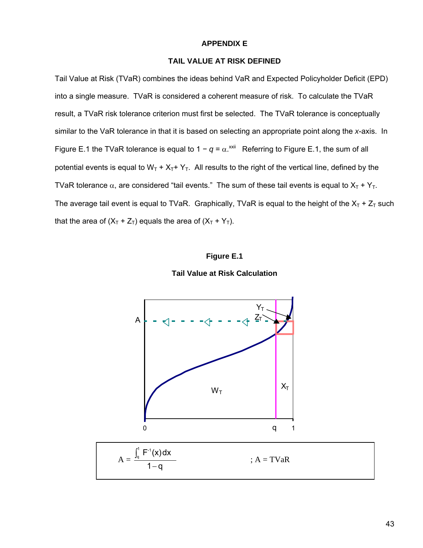#### **APPENDIX E**

# **TAIL VALUE AT RISK DEFINED**

Tail Value at Risk (TVaR) combines the ideas behind VaR and Expected Policyholder Deficit (EPD) into a single measure. TVaR is considered a coherent measure of risk. To calculate the TVaR result, a TVaR risk tolerance criterion must first be selected. The TVaR tolerance is conceptually similar to the VaR tolerance in that it is based on selecting an appropriate point along the *x*-axis. In Figure E.1 the TVaR tolerance is equal to  $1 - q = \alpha^{x}$  Referring to Figure E.1, the sum of all potential events is equal to  $W_T + X_T + Y_T$ . All results to the right of the vertical line, defined by the TVaR tolerance  $\alpha$ , are considered "tail events." The sum of these tail events is equal to  $X_T + Y_T$ . The average tail event is equal to TVaR. Graphically, TVaR is equal to the height of the  $X_T + Z_T$  such that the area of  $(X_T + Z_T)$  equals the area of  $(X_T + Y_T)$ .

#### **Figure E.1**

![](_page_42_Figure_4.jpeg)

![](_page_42_Figure_5.jpeg)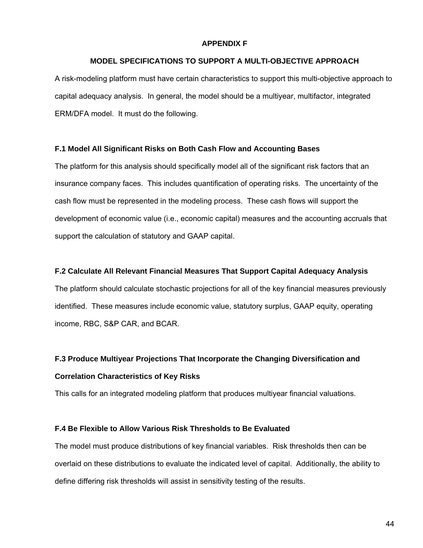#### **APPENDIX F**

### **MODEL SPECIFICATIONS TO SUPPORT A MULTI-OBJECTIVE APPROACH**

A risk-modeling platform must have certain characteristics to support this multi-objective approach to capital adequacy analysis. In general, the model should be a multiyear, multifactor, integrated ERM/DFA model. It must do the following.

#### **F.1 Model All Significant Risks on Both Cash Flow and Accounting Bases**

The platform for this analysis should specifically model all of the significant risk factors that an insurance company faces. This includes quantification of operating risks. The uncertainty of the cash flow must be represented in the modeling process. These cash flows will support the development of economic value (i.e., economic capital) measures and the accounting accruals that support the calculation of statutory and GAAP capital.

### **F.2 Calculate All Relevant Financial Measures That Support Capital Adequacy Analysis**

The platform should calculate stochastic projections for all of the key financial measures previously identified. These measures include economic value, statutory surplus, GAAP equity, operating income, RBC, S&P CAR, and BCAR.

# **F.3 Produce Multiyear Projections That Incorporate the Changing Diversification and Correlation Characteristics of Key Risks**

This calls for an integrated modeling platform that produces multiyear financial valuations.

#### **F.4 Be Flexible to Allow Various Risk Thresholds to Be Evaluated**

The model must produce distributions of key financial variables. Risk thresholds then can be overlaid on these distributions to evaluate the indicated level of capital. Additionally, the ability to define differing risk thresholds will assist in sensitivity testing of the results.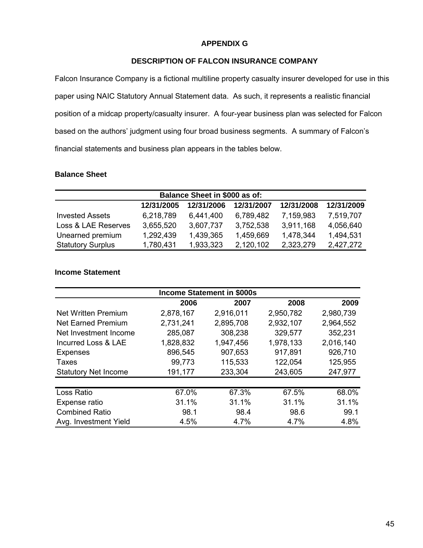# **APPENDIX G**

# **DESCRIPTION OF FALCON INSURANCE COMPANY**

Falcon Insurance Company is a fictional multiline property casualty insurer developed for use in this paper using NAIC Statutory Annual Statement data. As such, it represents a realistic financial position of a midcap property/casualty insurer. A four-year business plan was selected for Falcon based on the authors' judgment using four broad business segments. A summary of Falcon's financial statements and business plan appears in the tables below.

### **Balance Sheet**

| Balance Sheet in \$000 as of: |            |            |            |            |            |  |  |
|-------------------------------|------------|------------|------------|------------|------------|--|--|
|                               | 12/31/2005 | 12/31/2006 | 12/31/2007 | 12/31/2008 | 12/31/2009 |  |  |
| <b>Invested Assets</b>        | 6,218,789  | 6,441,400  | 6,789,482  | 7,159,983  | 7,519,707  |  |  |
| Loss & LAE Reserves           | 3,655,520  | 3,607,737  | 3,752,538  | 3,911,168  | 4,056,640  |  |  |
| Unearned premium              | 1,292,439  | 1,439,365  | 1,459,669  | 1,478,344  | 1,494,531  |  |  |
| <b>Statutory Surplus</b>      | 1,780,431  | 1,933,323  | 2,120,102  | 2,323,279  | 2,427,272  |  |  |

# **Income Statement**

| <b>Income Statement in \$000s</b> |           |           |           |           |  |  |
|-----------------------------------|-----------|-----------|-----------|-----------|--|--|
|                                   | 2006      | 2007      | 2008      | 2009      |  |  |
| Net Written Premium               | 2,878,167 | 2,916,011 | 2,950,782 | 2,980,739 |  |  |
| <b>Net Earned Premium</b>         | 2,731,241 | 2,895,708 | 2,932,107 | 2,964,552 |  |  |
| Net Investment Income             | 285,087   | 308,238   | 329,577   | 352,231   |  |  |
| Incurred Loss & LAE               | 1,828,832 | 1,947,456 | 1,978,133 | 2,016,140 |  |  |
| <b>Expenses</b>                   | 896,545   | 907,653   | 917,891   | 926,710   |  |  |
| <b>Taxes</b>                      | 99,773    | 115,533   | 122,054   | 125,955   |  |  |
| <b>Statutory Net Income</b>       | 191,177   | 233,304   | 243,605   | 247,977   |  |  |
|                                   |           |           |           |           |  |  |
| Loss Ratio                        | 67.0%     | 67.3%     | 67.5%     | 68.0%     |  |  |
| Expense ratio                     | 31.1%     | 31.1%     | 31.1%     | 31.1%     |  |  |
| <b>Combined Ratio</b>             | 98.1      | 98.4      | 98.6      | 99.1      |  |  |
| Avg. Investment Yield             | 4.5%      | 4.7%      | 4.7%      | 4.8%      |  |  |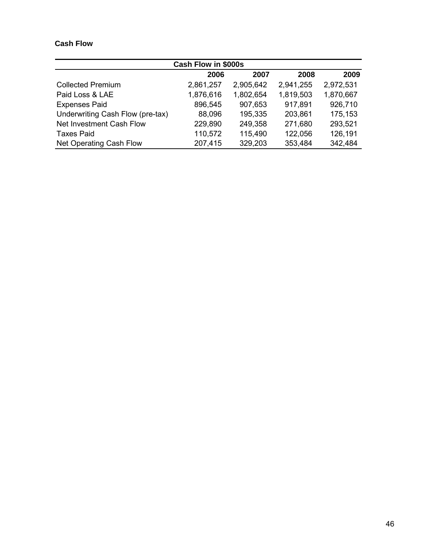# **Cash Flow**

| Cash Flow in \$000s              |           |           |           |           |  |  |
|----------------------------------|-----------|-----------|-----------|-----------|--|--|
|                                  | 2006      | 2007      | 2008      | 2009      |  |  |
| <b>Collected Premium</b>         | 2,861,257 | 2,905,642 | 2,941,255 | 2,972,531 |  |  |
| Paid Loss & LAE                  | 1,876,616 | 1,802,654 | 1,819,503 | 1,870,667 |  |  |
| <b>Expenses Paid</b>             | 896,545   | 907,653   | 917,891   | 926,710   |  |  |
| Underwriting Cash Flow (pre-tax) | 88,096    | 195,335   | 203,861   | 175,153   |  |  |
| Net Investment Cash Flow         | 229,890   | 249,358   | 271,680   | 293,521   |  |  |
| <b>Taxes Paid</b>                | 110,572   | 115,490   | 122,056   | 126,191   |  |  |
| Net Operating Cash Flow          | 207,415   | 329,203   | 353,484   | 342,484   |  |  |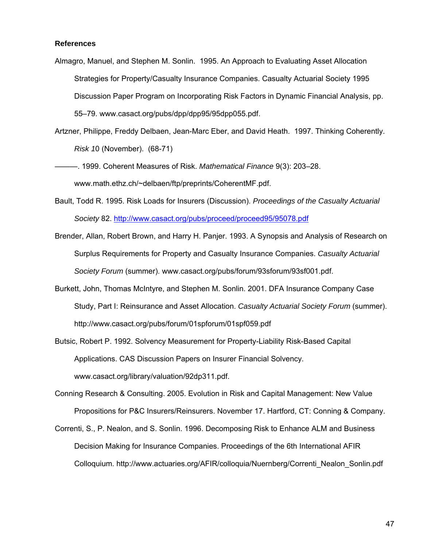#### **References**

- Almagro, Manuel, and Stephen M. Sonlin. 1995. An Approach to Evaluating Asset Allocation Strategies for Property/Casualty Insurance Companies. Casualty Actuarial Society 1995 Discussion Paper Program on Incorporating Risk Factors in Dynamic Financial Analysis, pp. 55–79. www.casact.org/pubs/dpp/dpp95/95dpp055.pdf.
- Artzner, Philippe, Freddy Delbaen, Jean-Marc Eber, and David Heath. 1997. Thinking Coherently. *Risk 1*0 (November). (68-71)
- ———. 1999. Coherent Measures of Risk. *Mathematical Finance* 9(3): 203–28. www.math.ethz.ch/~delbaen/ftp/preprints/CoherentMF.pdf.
- Bault, Todd R. 1995. Risk Loads for Insurers (Discussion). *Proceedings of the Casualty Actuarial Society* 82. http://www.casact.org/pubs/proceed/proceed95/95078.pdf
- Brender, Allan, Robert Brown, and Harry H. Panjer. 1993. A Synopsis and Analysis of Research on Surplus Requirements for Property and Casualty Insurance Companies. *Casualty Actuarial Society Forum* (summer). www.casact.org/pubs/forum/93sforum/93sf001.pdf.
- Burkett, John, Thomas McIntyre, and Stephen M. Sonlin. 2001. DFA Insurance Company Case Study, Part I: Reinsurance and Asset Allocation. *Casualty Actuarial Society Forum* (summer). http://www.casact.org/pubs/forum/01spforum/01spf059.pdf
- Butsic, Robert P. 1992. Solvency Measurement for Property-Liability Risk-Based Capital Applications. CAS Discussion Papers on Insurer Financial Solvency. www.casact.org/library/valuation/92dp311.pdf.
- Conning Research & Consulting. 2005. Evolution in Risk and Capital Management: New Value Propositions for P&C Insurers/Reinsurers. November 17. Hartford, CT: Conning & Company.
- Correnti, S., P. Nealon, and S. Sonlin. 1996. Decomposing Risk to Enhance ALM and Business Decision Making for Insurance Companies. Proceedings of the 6th International AFIR Colloquium. http://www.actuaries.org/AFIR/colloquia/Nuernberg/Correnti\_Nealon\_Sonlin.pdf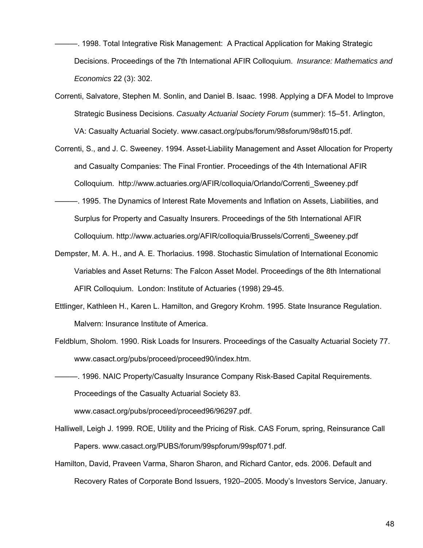- ———. 1998. Total Integrative Risk Management: A Practical Application for Making Strategic Decisions. Proceedings of the 7th International AFIR Colloquium. *Insurance: Mathematics and Economics* 22 (3): 302.
- Correnti, Salvatore, Stephen M. Sonlin, and Daniel B. Isaac. 1998. Applying a DFA Model to Improve Strategic Business Decisions. *Casualty Actuarial Society Forum* (summer): 15–51. Arlington, VA: Casualty Actuarial Society. www.casact.org/pubs/forum/98sforum/98sf015.pdf.
- Correnti, S., and J. C. Sweeney. 1994. Asset-Liability Management and Asset Allocation for Property and Casualty Companies: The Final Frontier. Proceedings of the 4th International AFIR Colloquium. http://www.actuaries.org/AFIR/colloquia/Orlando/Correnti\_Sweeney.pdf
- ———. 1995. The Dynamics of Interest Rate Movements and Inflation on Assets, Liabilities, and Surplus for Property and Casualty Insurers. Proceedings of the 5th International AFIR Colloquium. http://www.actuaries.org/AFIR/colloquia/Brussels/Correnti\_Sweeney.pdf
- Dempster, M. A. H., and A. E. Thorlacius. 1998. Stochastic Simulation of International Economic Variables and Asset Returns: The Falcon Asset Model. Proceedings of the 8th International AFIR Colloquium. London: Institute of Actuaries (1998) 29-45.
- Ettlinger, Kathleen H., Karen L. Hamilton, and Gregory Krohm. 1995. State Insurance Regulation. Malvern: Insurance Institute of America.
- Feldblum, Sholom. 1990. Risk Loads for Insurers. Proceedings of the Casualty Actuarial Society 77. www.casact.org/pubs/proceed/proceed90/index.htm.
- ———. 1996. NAIC Property/Casualty Insurance Company Risk-Based Capital Requirements. Proceedings of the Casualty Actuarial Society 83.

www.casact.org/pubs/proceed/proceed96/96297.pdf.

- Halliwell, Leigh J. 1999. ROE, Utility and the Pricing of Risk. CAS Forum, spring, Reinsurance Call Papers. www.casact.org/PUBS/forum/99spforum/99spf071.pdf.
- Hamilton, David, Praveen Varma, Sharon Sharon, and Richard Cantor, eds. 2006. Default and Recovery Rates of Corporate Bond Issuers, 1920–2005. Moody's Investors Service, January.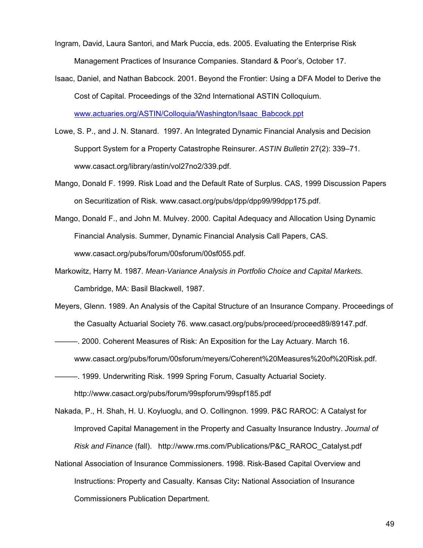- Ingram, David, Laura Santori, and Mark Puccia, eds. 2005. Evaluating the Enterprise Risk Management Practices of Insurance Companies. Standard & Poor's, October 17.
- Isaac, Daniel, and Nathan Babcock. 2001. Beyond the Frontier: Using a DFA Model to Derive the Cost of Capital. Proceedings of the 32nd International ASTIN Colloquium.

www.actuaries.org/ASTIN/Colloquia/Washington/Isaac\_Babcock.ppt

- Lowe, S. P., and J. N. Stanard. 1997. An Integrated Dynamic Financial Analysis and Decision Support System for a Property Catastrophe Reinsurer. *ASTIN Bulletin* 27(2): 339–71. www.casact.org/library/astin/vol27no2/339.pdf.
- Mango, Donald F. 1999. Risk Load and the Default Rate of Surplus. CAS, 1999 Discussion Papers on Securitization of Risk. www.casact.org/pubs/dpp/dpp99/99dpp175.pdf.
- Mango, Donald F., and John M. Mulvey. 2000. Capital Adequacy and Allocation Using Dynamic Financial Analysis. Summer, Dynamic Financial Analysis Call Papers, CAS. www.casact.org/pubs/forum/00sforum/00sf055.pdf.
- Markowitz, Harry M. 1987. *Mean-Variance Analysis in Portfolio Choice and Capital Markets.* Cambridge, MA: Basil Blackwell, 1987.
- Meyers, Glenn. 1989. An Analysis of the Capital Structure of an Insurance Company. Proceedings of the Casualty Actuarial Society 76. www.casact.org/pubs/proceed/proceed89/89147.pdf.
- ———. 2000. Coherent Measures of Risk: An Exposition for the Lay Actuary. March 16. www.casact.org/pubs/forum/00sforum/meyers/Coherent%20Measures%20of%20Risk.pdf.
- ———. 1999. Underwriting Risk. 1999 Spring Forum, Casualty Actuarial Society. http://www.casact.org/pubs/forum/99spforum/99spf185.pdf
- Nakada, P., H. Shah, H. U. Koyluoglu, and O. Collingnon. 1999. P&C RAROC: A Catalyst for Improved Capital Management in the Property and Casualty Insurance Industry. *Journal of Risk and Finance* (fall). http://www.rms.com/Publications/P&C\_RAROC\_Catalyst.pdf
- National Association of Insurance Commissioners. 1998. Risk-Based Capital Overview and Instructions: Property and Casualty. Kansas City**:** National Association of Insurance Commissioners Publication Department.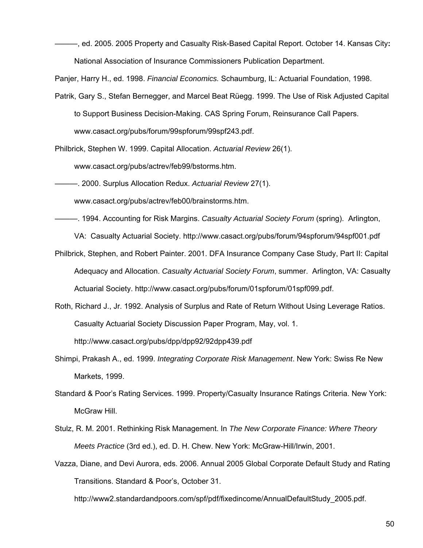———, ed. 2005. 2005 Property and Casualty Risk-Based Capital Report. October 14. Kansas City**:**  National Association of Insurance Commissioners Publication Department.

Panjer, Harry H., ed. 1998. *Financial Economics.* Schaumburg, IL: Actuarial Foundation, 1998.

Patrik, Gary S., Stefan Bernegger, and Marcel Beat Rüegg. 1999. The Use of Risk Adjusted Capital to Support Business Decision-Making. CAS Spring Forum, Reinsurance Call Papers.

www.casact.org/pubs/forum/99spforum/99spf243.pdf.

Philbrick, Stephen W. 1999. Capital Allocation. *Actuarial Review* 26(1).

www.casact.org/pubs/actrev/feb99/bstorms.htm.

———. 2000. Surplus Allocation Redux. *Actuarial Review* 27(1).

www.casact.org/pubs/actrev/feb00/brainstorms.htm.

———. 1994. Accounting for Risk Margins. *Casualty Actuarial Society Forum* (spring). Arlington,

VA: Casualty Actuarial Society. http://www.casact.org/pubs/forum/94spforum/94spf001.pdf

- Philbrick, Stephen, and Robert Painter. 2001. DFA Insurance Company Case Study, Part II: Capital Adequacy and Allocation. *Casualty Actuarial Society Forum*, summer. Arlington, VA: Casualty Actuarial Society. http://www.casact.org/pubs/forum/01spforum/01spf099.pdf.
- Roth, Richard J., Jr. 1992. Analysis of Surplus and Rate of Return Without Using Leverage Ratios. Casualty Actuarial Society Discussion Paper Program, May, vol. 1.

http://www.casact.org/pubs/dpp/dpp92/92dpp439.pdf

- Shimpi, Prakash A., ed. 1999. *Integrating Corporate Risk Management*. New York: Swiss Re New Markets, 1999.
- Standard & Poor's Rating Services. 1999. Property/Casualty Insurance Ratings Criteria. New York: McGraw Hill.
- Stulz, R. M. 2001. Rethinking Risk Management. In *The New Corporate Finance: Where Theory Meets Practice* (3rd ed.), ed. D. H. Chew. New York: McGraw-Hill/Irwin, 2001.
- Vazza, Diane, and Devi Aurora, eds. 2006. Annual 2005 Global Corporate Default Study and Rating Transitions. Standard & Poor's, October 31.

http://www2.standardandpoors.com/spf/pdf/fixedincome/AnnualDefaultStudy\_2005.pdf.